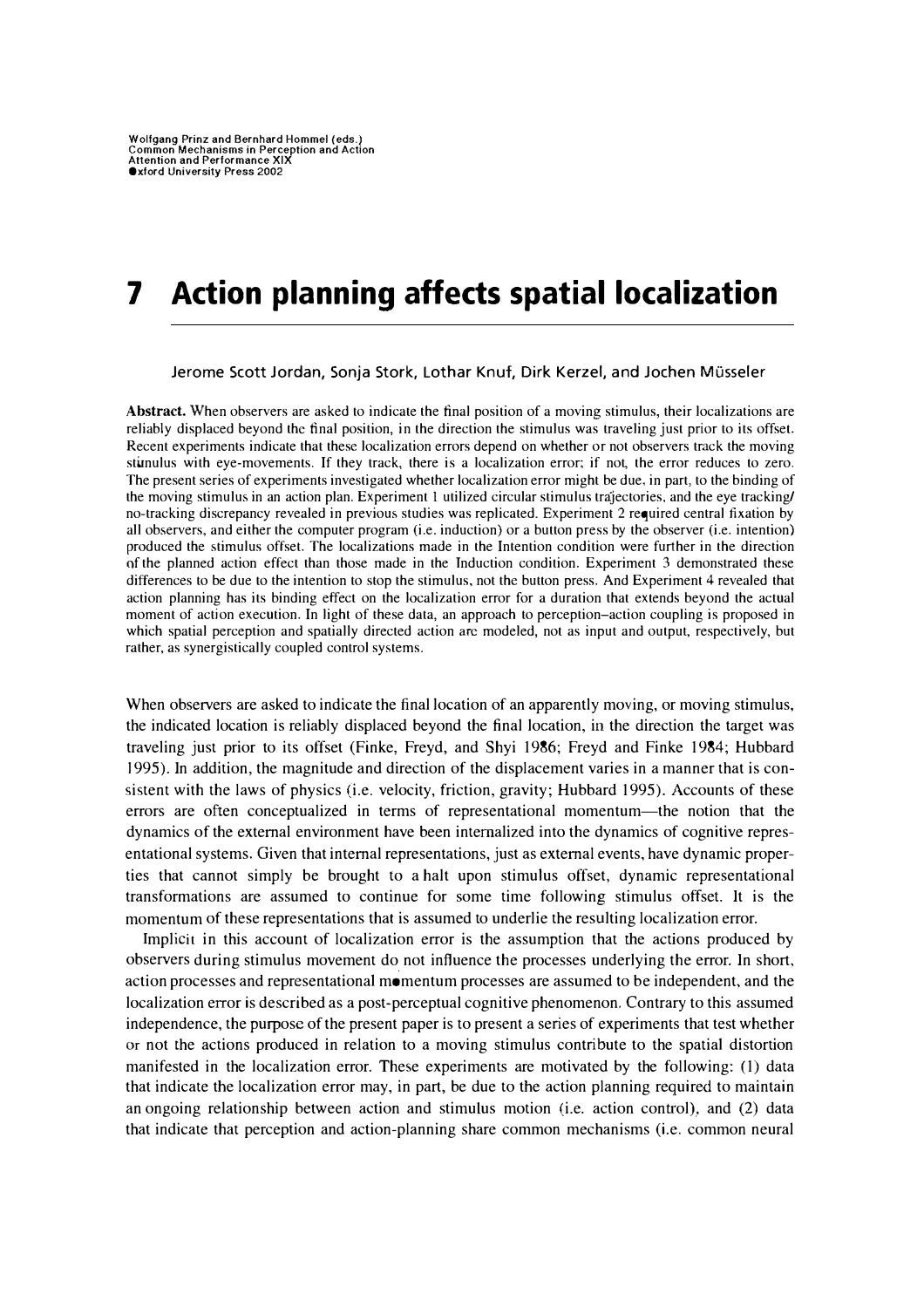Wolfgang Prinz and Bernhard Hommel (eds.) Common Mechanisms in Perception and Action Attention and Performance XIX Oxford University Press 2002

# 7 Action planning affects spatial localization

#### Jerome Scott Jordan, Sonja Stork, Lothar Knuf, Dirk Kerzel, and Jochen Müsseler

Abstract. When observers are asked to indicate the final position of a moving stimulus, their localizations are reliably displaced beyond thc final position, in the direction the stimulus was traveling just prior to its offset. Recent experiments indicate that thesc localization errors depend on whether or not observers track the moving stunulus with eye-movements. If they track, there is a localization error; if not, the error reduces to zero. The present series of experiments investigated whether localization error might be due, in part, to the binding of the moving stimulus in an action plan, Experiment I utilized circular stimulus trajectories, and the eye tracking/ no-tracking discrepancy revealed in previous studies was replicated. Experiment 2 required central fixation by all observers, and either the computer program (i.e. induction) or a button press by the observer (i.e. intention) produced the stimulus offset. The localizations made in the Intention condition were further in the direction of the planned action effect than those made in the Induction condition. Experiment 3 demonstrated these differences to be due to the intention to stop the stimulus, not the button press. And Experiment 4 revealed that action planning has its binding effect on the localization error for a duration that extends beyond the actual moment of action execution. In light of these data, an approach to perception-action coupling is proposed in which spatial perception and spatially directed action are modeled, not as input and output, respectively, but rather, as synergistically coupled control systems.

When observers are asked to indicate the final location of an apparently moving, or moving stimulus, the indicated location is reliably displaced beyond the final location, in the direction the target was traveling just prior to its offset (Finke, Freyd, and Shyi 1986; Freyd and Finke 1984; Hubbard 1995). In addition, the magnitude and direction of the displacement varies in a manner that is consistent with the laws of physics (i.e. velocity, friction, gravity; Hubbard 1995). Accounts of these errors are often conceptualized in terms of representational momentum-the notion that the dynamics of the external environment have been internalized into the dynamics of cognitive representational systems. Given that internal representations, just as external events, have dynamic properties that cannot simply be brought to a halt upon stimulus offset, dynamic representational transformations are assumed to continue for some time following stimulus offset It is the momentum of these representations thai is assumed to underlie the resulting localization error.

Implieit in this account of localization error is the assumption that the actions produced by observers during stimulus movement do not influence the processes underlying the error. In short, action processes and representational momentum processes are assumed to be independent, and the localization error is described as a post-perceptual cognitive phenomenon, Contrary to this assumed independence, the purpose of the present paper is to present a series of experiments that test whether or not the actions produced in relation to a moving stimulus contribute to the spatial distortion manifested in the localization error. These experiments are motivated by the following: (1) data that indicate the localization error may, in part, be due to the action planning required to maintain an ongoing relationship between action and stimulus motion (i.e. action control). and (2) data that indicate that perception and action-planning share common mechanisms (i.e. common neural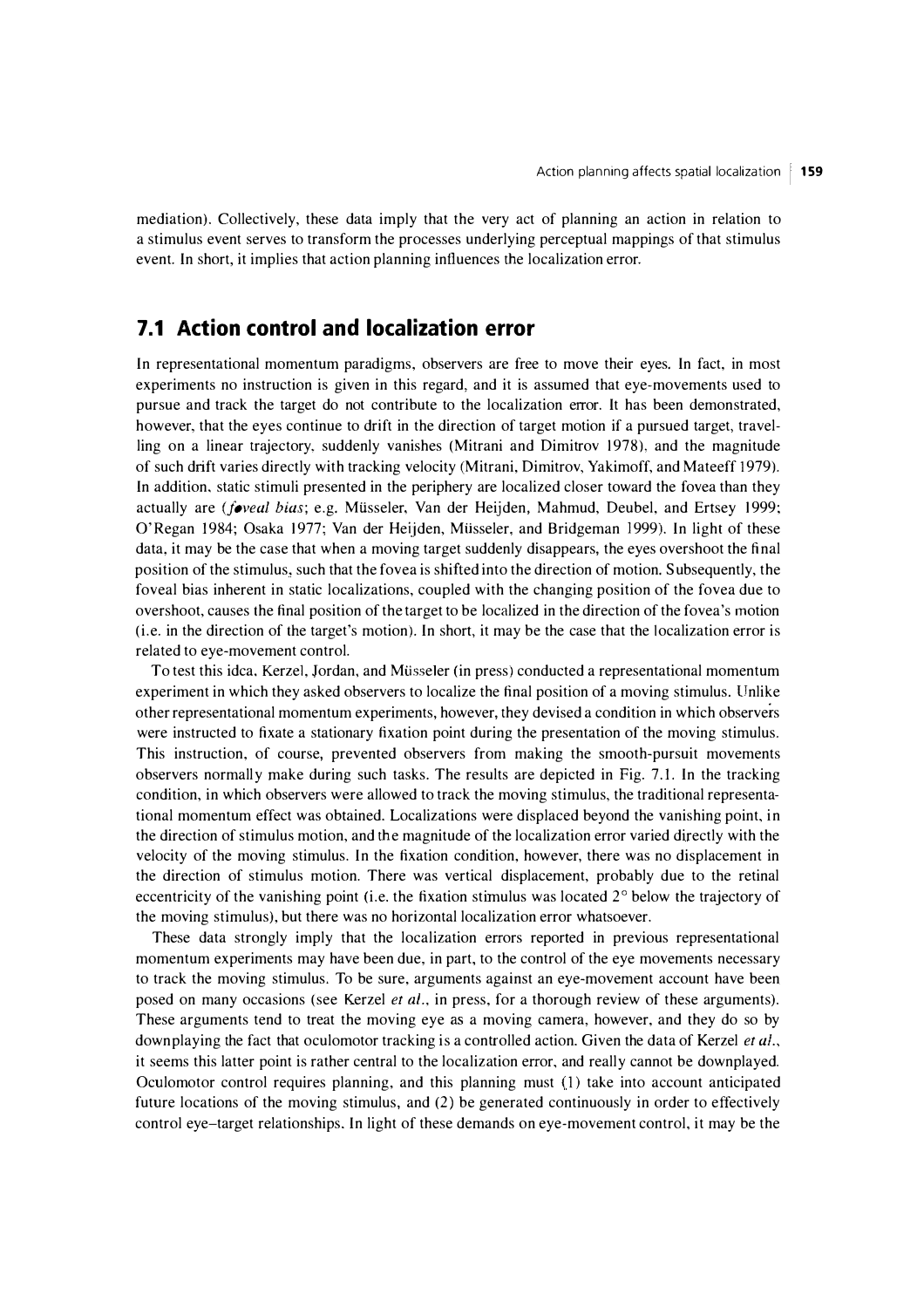mediation). Collectively, these data imply that the very act of planning an action in relation to a stimulus event serves to transform the processes underlying perceptual mappings of that stimulus event. In short, it implies that action planning influences the localization error.

# 7.1 Action control and localization error

In representational momentum paradigms, observers are free to move their eyes. In fact, in most experiments no instruction is given in this regard, and it is assumed that eye-movements used to pursue and track the target do not contribute to the localization error. It has been demonstrated, however, that the eyes continue to drift in the direction of target motion if a pursued target, travelling on a linear trajectory, suddenly vanishes (Mitrani and Dimitrov 1978), and the magnitude of such drift varies directly with tracking velocity (Mitrani, Dimitrov, Yakimoff, and Mateeff 1979). In addition, static stimuli presented in the periphery are localized closer toward the fovea than they actually are (foveal bias; e.g. Müsseler, Van der Heijden, Mahmud, Deubel, and Ertsey 1999; O'Regan 1984; Osaka 1977; Van der Heijden, Müsseler, and Bridgeman 1999). In light of these data, it may be the case that when a moving target suddenly disappears, the eyes overshoot the final position of the stimulus. such that the fovea is shifted into the direction of motion. S ubsequently, the foveal bias inherent in static localizations, coupled with the changing position of the fovea due to overshoot, causes the final position of the target to be localized in the direction of the fovea's motion (i.e. in the direction of the target's motion). In short, it may be the case that the localization error is related to eye-movement control.

To test this idca. Kerzel, Jordan, and Müsseler (in press) conducted a representational momentum experiment in which they asked observers to localize the final position of a moving stimulus. Unlike other representational momentum experiments, however, they devised a condition in which observers were instructed to fixate a stationary fixation point during the presentation of the moving stimulus. This instruction, of course, prevented observers from making the smooth-pursuit movements observers normally make during such tasks. The results are depicted in Fig. 7.1. In the tracking condition, in which observers were allowed to track the moving stimulus, the traditional representational momentum effect was obtained. Localizations were displaced beyond the vanishing point, in the direction of stimulus motion, and the magnitude of the localization error varied directly with the velocity of the moving stimulus. In the fixation condition, however, there was no displacement in the direction of stimulus motion. There was vertical displacement, probably due to the retinal eccentricity of the vanishing point (i.e. the fixation stimulus was located 2° below the trajectory of the moving stimulus), but there was no horizontal localization error whatsoever.

These data strongly imply that the localization errors reported in previous representational momentum experiments may have been due, in part, to the control of the eye movements necessary to track the moving stimulus. To be sure, arguments against an eye-movement account have been posed on many occasions (see Kerzel et al., in press, for a thorough review of these arguments). These arguments tend to treat the moving eye as a moving camera, however, and they do so by down playing the fact that oculomotor tracking is a controlled action. Given the data of Kerzel et al., it seems this latter point is rather central to the localization error, and really cannot be downplayed. Oculomotor control requires planning, and this planning must (I) take into account anticipated future locations of the moving stimulus, and (2) be generated continuously in order to effectively control eye-target relationships. In light of these demands on eye-movement control. it may be the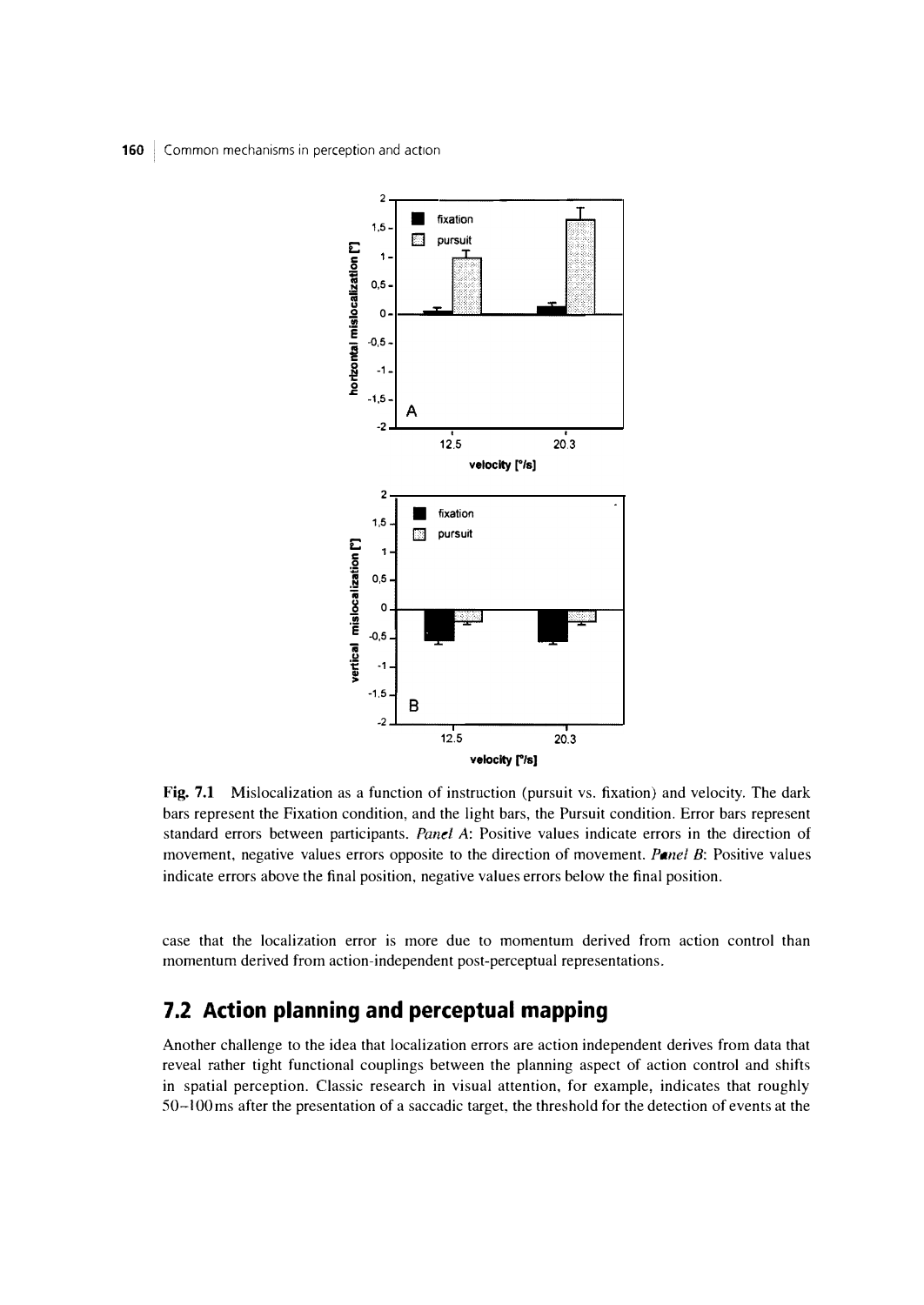

Fig. 7.1 Mislocalization as a function of instruction (pursuit vs. fixation) and velocity. The dark bars represent the Fixation condition, and the light bars, the Pursuit condition. Error bars represent standard errors between participants. Panel A: Positive values indicate errors in the direction of movement, negative values errors opposite to the direction of movement. Panel B: Positive values indicate errors above the final position, negative values errors below the final position.

case that the localization error is more due to momentum derived from action control than momentum derived from action-independent post-perceptual representations.

# 7.2 Action planning and perceptual mapping

Another challenge to the idea that localization errors are action independent derives from data that reveal rather tight functional couplings between the planning aspect of action control and shifts in spatial perception. Classic research in visual attention, for example, indicates that roughly 50-100 ms after the presentation of a saccadic target. the threshold for the detection of events at the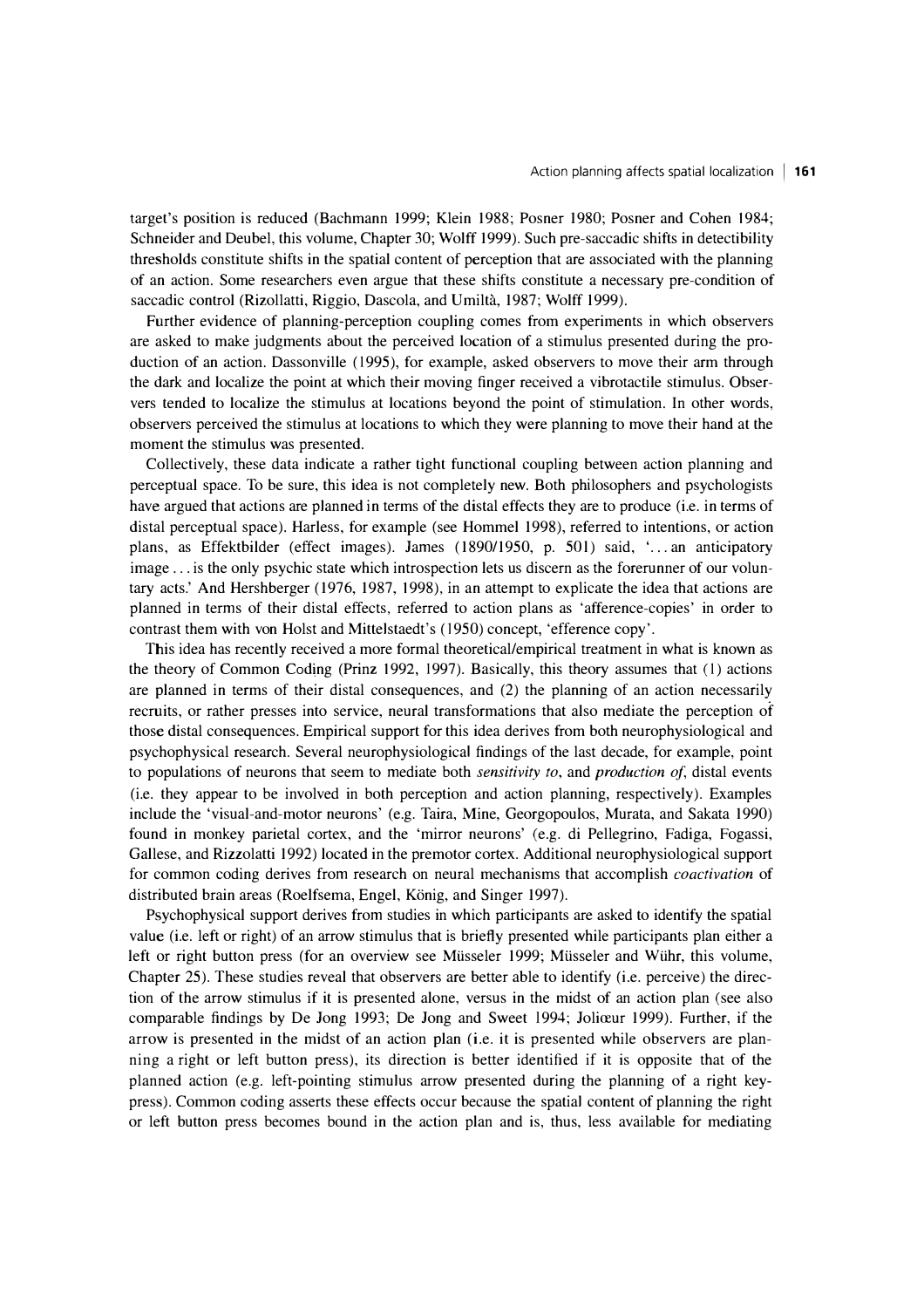target's position is reduced (Bachmann 1999; Klein 1988; Posner 1980; Posner and Cohen 1984; Schneider and Deubel, this volume, Chapter 30; Wolff 1999). Such pre-saccadic shifts in detectibility thresholds constitute shifts in the spatial content of perception that are associated with the planning of an action. Some researchers even argue that these shifts constitute a necessary pre-condition of saccadic control (Rizollatti, Riggio, Dascola, and Umilta, 1987; Wolff 1999).

Further evidence of planning-perception coupling comes from experiments in which observers are asked to make judgments about the perceived location of a stimulus presented during the production of an action. Dassonville (1995), for example, asked observers to move their arm through the dark and localize the point at which their moving finger received a vibrotactile stimulus. Observers tended to localize the stimulus at locations beyond the point of stimulation. In other words, observers perceived the stimulus at locations to which they were planning to move their hand at the moment the stimulus was presented.

Collectively, these data indicate a rather tight functional coupling between action planning and perceptual space. To be sure, this idea is not completely new. Both philosophers and psychologists have argued that actions are planned in terms of the distal effects they are to produce (i.e. in terms of distal perceptual space). Harless, for example (see Hommel 1998), referred to intentions, or action plans, as Effektbilder (effect images). James (1890/1950, p. 501) said, '... an anticipatory image ... is the only psychic state which introspection lets us discern as the forerunner of our voluntary acts.' And Hershberger (1976, 1987, 1998), in an attempt to explicate the idea that actions are planned in terms of their distal effects, referred to action plans as 'afference-copies' in order to contrast them with von Holst and Mittelstaedt's (1950) concept, 'efference copy'.

This idea has recently received a more formal theoretical/empirical treatment in what is known as the theory of Common Coding (Prinz 1992, 1997). Basically, this theory assumes that (1) actions are planned in terms of their distal consequences, and (2) the planning of an action necessarily recruits, or rather presses into service, neural transformations that also mediate the perception of those distal consequences. Empirical support for this idea derives from both neurophysiological and psychophysical research. Several neurophysiological findings of the last decade, for example, point to populations of neurons that seem to mediate both *sensitivity to*, and *production of*, distal events (i.e. they appear to be involved in both perception and action planning, respectively). Examples include the 'visual-and-motor neurons' (e.g. Taira, Mine, Georgopoulos, Murata, and Sakata 1990) found in monkey parietal cortex, and the 'mirror neurons' (e.g. di Pellegrino, Fadiga, Fogassi, Gallese, and Rizzolatti 1992) located in the premotor cortex. Additional neurophysiological support for common coding derives from research on neural mechanisms that accomplish *coactivation* of distributed brain areas (Roelfsema, Engel, König, and Singer 1997).

Psychophysical support derives from studies in which participants are asked to identify the spatial value (i.e. left or right) of an arrow stimulus that is briefly presented while participants plan either a left or right button press (for an overview see Müsseler 1999; Müsseler and Wühr, this volume, Chapter 25). These studies reveal that observers are better able to identify (i.e. perceive) the direction of the arrow stimulus if it is presented alone, versus in the midst of an action plan (see also comparable findings by De long 1993; De long and Sweet 1994; lolireur 1999). Further, if the arrow is presented in the midst of an action plan (i.e. it is presented while observers are planning a right or left button press), its direction is better identified if it is opposite that of the planned action (e.g. left-pointing stimulus arrow presented during the planning of a right keypress). Common coding asserts these effects occur because the spatial content of planning the right or left button press becomes bound in the action plan and is, thus, less available for mediating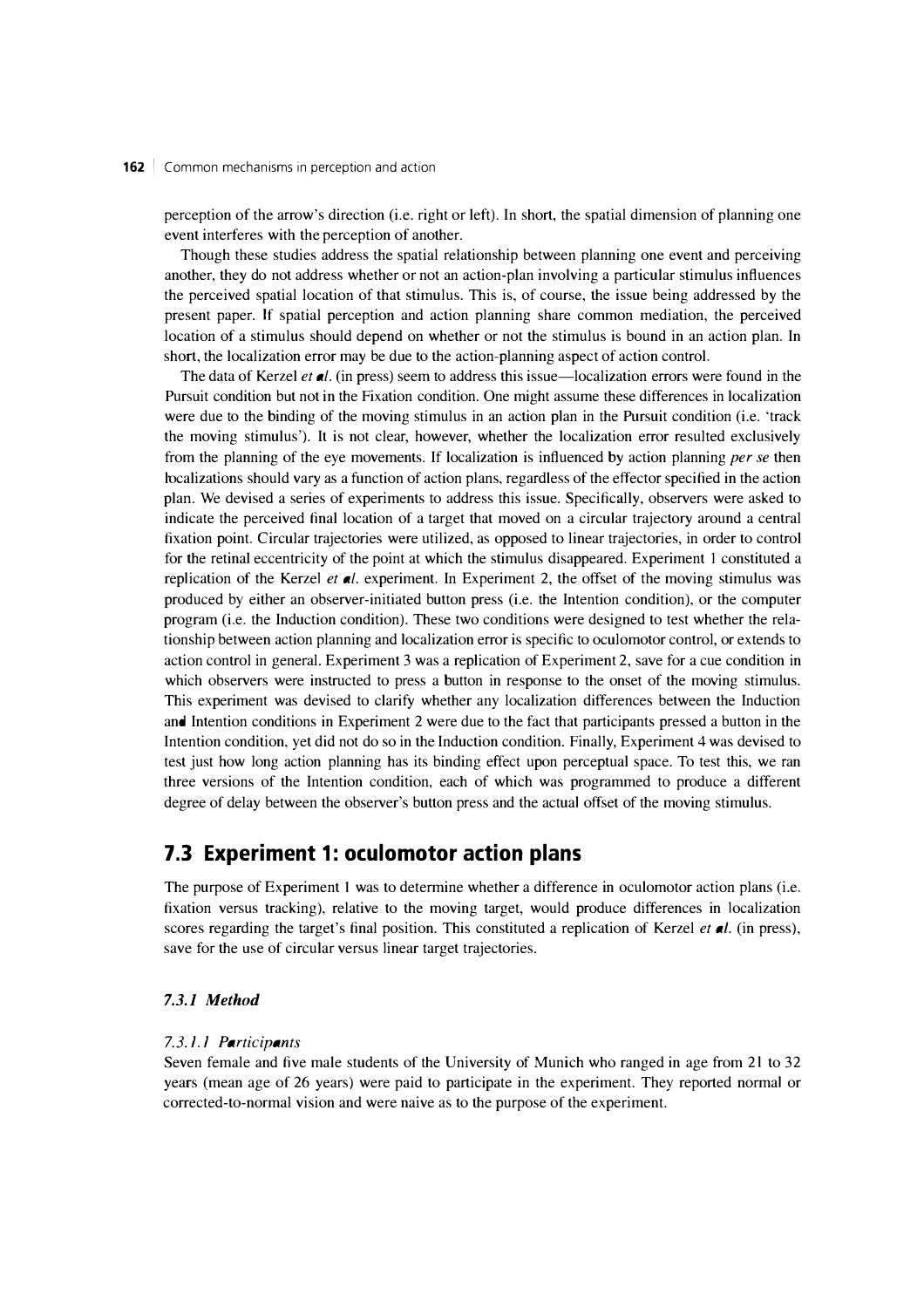perception of the arrow's direction (i.e. right or left). In short, the spatial dimension of planning one event interferes with the perception of another.

Though these studies address the spatial relationship between planning one event and perceiving another, they do not address whether or not an action-plan involving a particular stimulus influences the perceived spatial location of that stimulus. This is, of course, the issue being addressed by the present paper. If spatial perception and action planning share common mediation, the perceived location of a stimulus should depend on whether or not the stimulus is bound in an action plan. In short, the localization error may be due to the action-planning aspect of action control.

The data of Kerzel et  $\mathbf{d}$ . (in press) seem to address this issue—localization errors were found in the Pursuit condition but not in the Fixation condition. One might assume these differences in localization were due to the binding of the moving stimulus in an action plan in the Pursuit condition (i.e. 'track the moving stimulus'). It is not clear, however, whether the localization error resulted exclusively from the planning of the eye movements. If localization is influenced by action planning *per se* then localizations should vary as a function of action plans, regardless of the effector specified in the action plan. We devised a series of experiments to address this issue. Specifically, observers were asked to indicate the perceived final location of a target that moved on a circular trajectory around a central fixation point. Circular trajectories were utilized, as opposed to linear trajectories, in order to control for the retinal eccentricity of the point at which the stimulus disappeared. Experiment 1 constituted a replication of the Kerzel et  $d$ . experiment. In Experiment 2, the offset of the moving stimulus was produced by either an observer-initiated button press (i.e. the Intention condition), or the computer program (i.e. the Induction condition). These two conditions were designed to test whether the relationship between action planning and localization error is specific to oculomotor control, or extends to action control in general. Experiment 3 was a replication of Experiment 2, save for a cue condition in which observers were instructed to press a button in response to the onset of the moving stimulus. This experiment was devised to clarify whether any localization differences between the Induction and Intention conditions in Experiment 2 were due to the fact that participants pressed a button in the Intention condition, yet did not do so in the Induction condition. Finally, Experiment 4 was devised to test just how long action planning has its binding effect upon perceptual space. To test this, we ran three versions of the Intention condition, each of which was programmed to produce a different degree of delay between the observer's button press and the actual offset of the moving stimulus.

# 7.3 Experiment 1: oculomotor action plans

The purpose of Experiment 1 was to determine whether a difference in oculomotor action plans (i.e. fixation versus tracking), relative to the moving target, would produce differences in localization scores regarding the target's final position. This constituted a replication of Kerzel et  $d$ . (in press), save for the use of circular versus linear target trajectories.

# 7.3.1 Method

#### 7.3.1.1 Participants

Seven female and five male students of the University of Munich who ranged in age from 21 to 32 years (mean age of 26 years) were paid to participate in the experiment. They reported normal or corrected-to-normal vision and were naive as to the purpose of the experiment.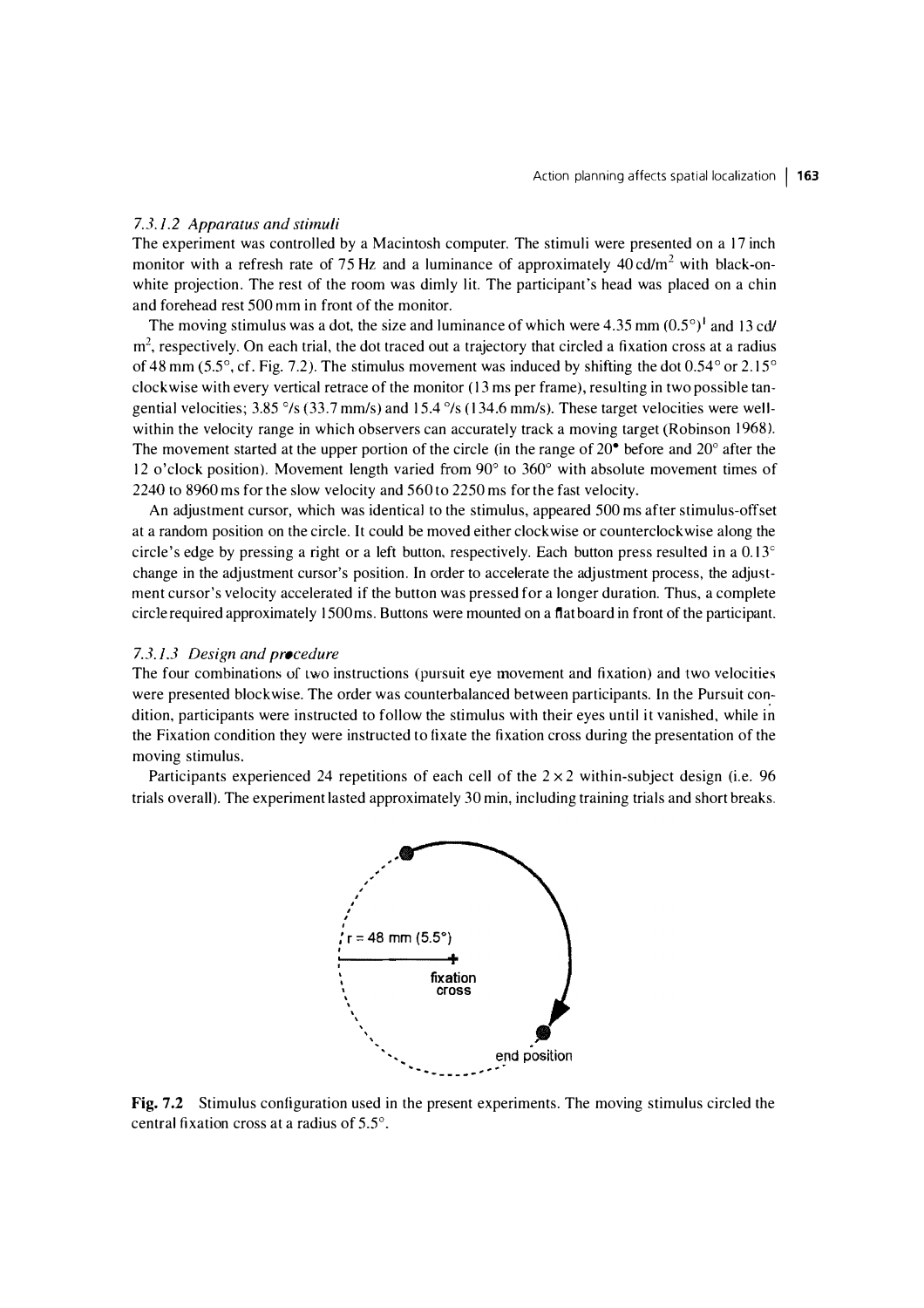### 7.3.1.2 Apparatus and stimuli

The experiment was controlled by a Macintosh computer. The stimuli were presented on a 17 inch monitor with a refresh rate of 75 Hz and a luminance of approximately  $40 \text{ cd/m}^2$  with black-onwhite projection. The rest of the room was dimly lit. The participant's head was placed on a chin and forehead rest 500 mm in front of the monitor.

The moving stimulus was a dot, the size and luminance of which were 4.35 mm  $(0.5^\circ)^1$  and 13 cd/  $m<sup>2</sup>$ , respectively. On each trial, the dot traced out a trajectory that circled a fixation cross at a radius of 48 mm (5.5°, cf. Fig. 7.2). The stimulus movement was induced by shifting the dot  $0.54^{\circ}$  or  $2.15^{\circ}$ clockwise with every vertical retrace of the monitor (13 ms per frame), resulting in two possible tangential velocities;  $3.85^{\circ}/s$  (33.7 mm/s) and 15.4  $\degree$ /s (134.6 mm/s). These target velocities were wellwithin the velocity range in which observers can accurately track a moving target (Robinson 1968). The movement started at the upper portion of the circle (in the range of  $20^{\circ}$  before and  $20^{\circ}$  after the 12 o'clock position). Movement length varied from  $90^{\circ}$  to  $360^{\circ}$  with absolute movement times of 2240 to 8960 ms for the slow velocity and 560 to 2250 ms for the fast velocity.

An adjustment cursor, which was identical to the stimulus, appeared 500 ms after stimulus-offset at a random position on the circle. It could be moved either clockwise or counterclockwise along the circle's edge by pressing a right or a left button, respectively. Each button press resulted in a  $0.13^{\circ}$ change in the adjustment cursor's position. In order to accelerate the adjustment process, the adjustment cursor's velocity accelerated if the button was pressed for a longer duration. Thus, a complete circle required approximately 1500 ms. Buttons were mounted on a flat board in front of the participant.

### 7.3.1.3 Design and procedure

The four combinations of two instructions (pursuit eye movement and fixation) and two velocities were presented blockwise. The order was counterbalanced between participants. In the Pursuit condition, participants were instructed to follow the stimulus with their eyes until it vanished, while in the Fixation condition they were instructed to fixate the fixation cross during the presentation of the moving stimulus,

Participants experienced 24 repetitions of each cell of the  $2 \times 2$  within-subject design (i.e. 96 trials overall). The experiment lasted approximately 30 min, including training trials and short breaks.



Fig. 7.2 Stimulus configuration used in the present experiments. The moving stimulus circled the central fixation cross at a radius of 5.5°.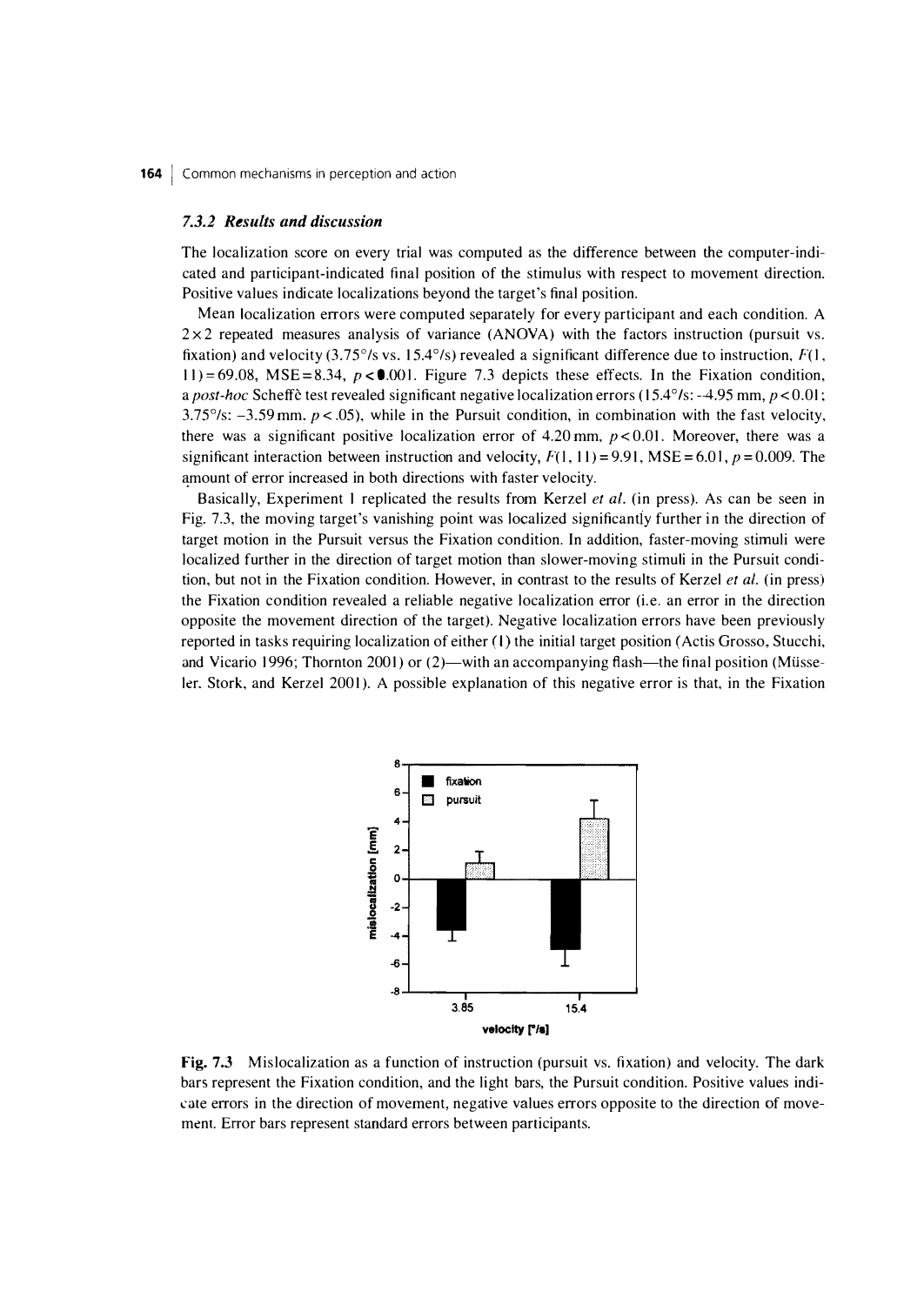#### 7.3.2 Results and discussion

The localization score on every trial was computed as the difference between the computer-indicated and participant-indicated final position of the stimulus with respect to movement direction. Positive values indicate localizations beyond the target's final position.

Mean localization errors were computed separately for every participant and each condition. A  $2 \times 2$  repeated measures analysis of variance (ANOVA) with the factors instruction (pursuit vs. fixation) and velocity (3.75°/s vs. 15.4°/s) revealed a significant difference due to instruction,  $F(1, 1)$ 11)=69.08, MSE=8.34,  $p < 0.001$ . Figure 7.3 depicts these effects. In the Fixation condition, a post-hoc Scheffe test revealed significant negative localization errors (15.4 $\degree$ /s: -4.95 mm, p < 0.01; 3.75°/s:  $-3.59$  mm,  $p < .05$ ), while in the Pursuit condition, in combination with the fast velocity, there was a significant positive localization error of  $4.20 \text{ mm}$ ,  $p < 0.01$ . Moreover, there was a significant interaction between instruction and velocity,  $F(1, 11) = 9.91$ , MSE = 6.01,  $p = 0.009$ . The amount of error increased in both directions with faster velocity.

Basically, Experiment 1 replicated the results from Kerzel *et al.* (in press). As can be seen in Fig. 7.3, the moving target's vanishing point was localized significantiy further in the direction of target motion in the Pursuit versus the Fixation condition. In addition, faster-moving stimuli were localized further in the direction of target motion than slower-moving stimuli in the Pursuit condition, but not in the Fixation condition. However, in contrast to the results of Kerzel et al. (in press) the Fixation condition revealed a reliable negative localization error (i.e. an error in the direction opposite the movement direction of the target). Negative localization errors have been previously reported in tasks requiring localization of either (I) the initial target position (Actis Grosso, Stucchi, and Vicario 1996; Thornton 2001) or (2)—with an accompanying flash—the final position (Müsseler. Stork, and Kerze1 2001). A possible explanation of this negative error is that, in the Fixation



Fig. 7.3 Mislocalization as a function of instruction (pursuit vs. fixation) and velocity. The dark bars represent the Fixation condition, and the light bars, the Pursuit condition. Positive values indicale errors in the direction of movement, negative values errors opposite to the direction of movement. Error bars represent standard errors between participants.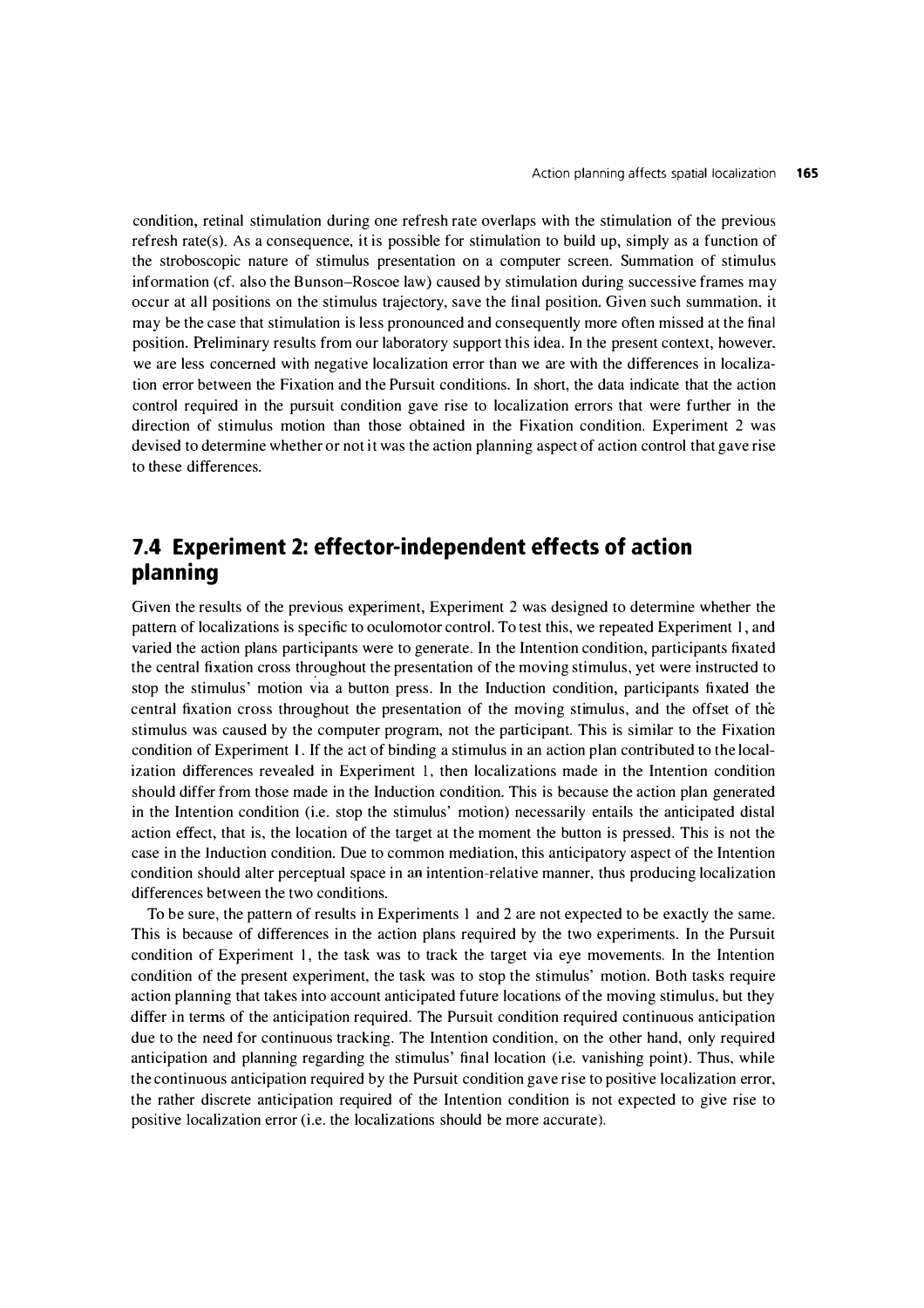condition, retinal stimulation during one refresh rate overlaps with the stimulation of the previous refresh rate(s). As a consequence, it is possible for stimulation to build up, simply as a function of the stroboscopic nature of stimulus presentation on a computer screen. Summation of stimulus information (cf. also the Bunson-Roscoe law) caused by stimulation during successive frames may occur at all positions on the stimulus trajectory, save the final position. Given such summation, it may be the case that stimulation is less pronounced and consequently more often missed at the final position. Preliminary results from our laboratory support this idea. In the present context, however. we are less concerned with negative localization error than we are with the differences in localization error between the Fixation and the Pursuit conditions. In short, the data indicate that the action control required in the pursuit condition gave rise to localization errors that were further in the direction of stimulus motion than those obtained in the Fixation condition. Experiment 2 was devised to determine whether or not it was the action planning aspect of action control that gave rise to these differences.

# 7.4 Experiment 2: effector-independent effects of action planning

Given the results of the previous experiment, Experiment 2 was designed to determine whether the pattern of localizations is specific to oculomotor control. To test this, we repeated Experiment 1, and varied the action plans participants were to generate. In the Intention condition, participants fixated the central fixation cross throughout the presentation of the moving stimulus, yet were instructed to stop the stimulus' motion via a button press. In the Induction condition, participants fixated the central fixation cross throughout the presentation of the moving stimulus, and the offset of the stimulus was caused by the computer program, not the participant. This is similar to the Fixation condition of Experiment I. If the act of binding a stimulus in an action plan contributed to the localization differences revealed in Experiment I, then localizations made in the Intention condition should differ from those made in the Induction condition. This is because the action plan generated in the Intention condition (i.e. stop the stimulus' motion) necessarily entails the anticipated distal action effect, that is, the location of the target at the moment the button is pressed. This is not the case in the Induction condition. Due to common mediation, this anticipatory aspect of the Intention condition should alter perceptual space in an intention-relative manner, thus producing localization differences between the two conditions.

To be sure, the pattern of results in Experiments 1 and 2 are not expected to be exactly the same. This is because of differences in the action plans required by the two experiments. In the Pursuit condition of Experiment 1, the task was to track the target via eye movements. In the Intention condition of the present experiment, the task was to stop the stimulus' motion. Both tasks require action planning that takes into account anticipated future locations of the moving stimulus, but they differ in terms of the anticipation required. The Pursuit condition required continuous anticipation due to the need for continuous tracking. The Intention condition, on the other hand, only required anticipation and planning regarding the stimulus' final location (i.e. vanishing point). Thus, while the continuous anticipation required by the Pursuit condition gave rise to positive localization error, the rather discrete anticipation required of the Intention condition is not expected to give rise to positive localization error (i.e. the localizations should be more accurate).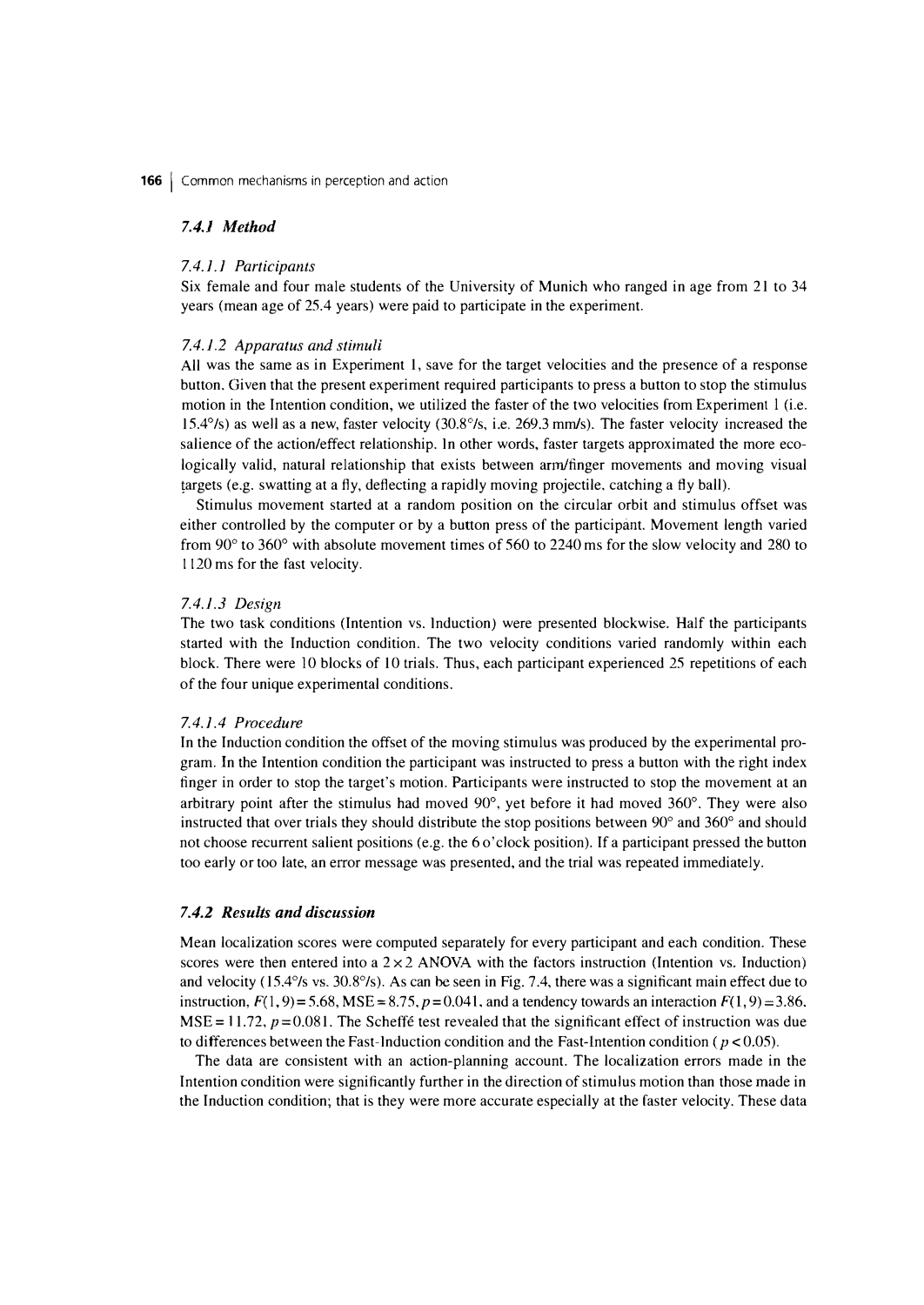### 7.4.1 Method

### 7.4.1.1 Participants

Six female and four male students of the University of Munich who ranged in age from 21 to 34 years (mean age of 25.4 years) were paid to participate in the experiment.

#### 7.4. J.2 Apparatus and stimuli

All was the same as in Experiment 1, save for the target velocities and the presence of a response button. Given that the present experiment required participants to press a button to stop the stimulus motion in the Intention condition, we utilized the faster of the two velocities from Experiment I (i.e. 15.4°/s) as well as a new, faster velocity  $(30.8^{\circ}/s)$ , i.e. 269.3 mm/s). The faster velocity increased the salience of the action/effect relationship. In other words, faster targets approximated the more ecologically valid, natural relationship that exists between arrn/finger movements and moving visual !argets (e.g. swatting at a fly, deflecting a rapidly moving projectile. catching a fly ball).

Stimulus movement started at a random position on the circular orbit and stimulus offset was either controlled by the computer or by a button press of the participimt. Movement length varied from 90° to 360° with absolute movement times of 560 to 2240 ms for the slow velocity and 280 to 1 120 ms for the fast velocity.

#### 7.4.1.3 Design

The two task conditions (Intention vs. Induction) were presented blockwise. Half the participants started with the Induction condition. The two velocity conditions varied randomly within each block. There were 10 blocks of 10 trials. Thus, each participant experienced 25 repetitions of each of the four unique experimental conditions.

### 7.4.1.4 Procedure

In the Induction condition the offset of the moving stimulus was produced by the experimental program. In the Intention condition the participant was instructed to press a button with the right index finger in order to stop the target's motion. Participants were instructed to stop the movement at an arbitrary point after the stimulus had moved 90°, yet before it had moved 360°. They were also instructed that over trials they should distribute the stop positions between  $90^{\circ}$  and  $360^{\circ}$  and should not choose recurrent salient positions (e.g. the 6 o'clock position). If a participant pressed the button too early or too late, an error message was presented, and the trial was repeated immediately.

#### 7.4.2 Results and discussion

Mean localization scores were computed separately for every participant and each condition. These scores were then entered into a  $2 \times 2$  ANOVA with the factors instruction (Intention vs. Induction) and velocity (15.4 $\degree$ /s vs. 30.8 $\degree$ /s). As can be seen in Fig. 7.4, there was a significant main effect due to instruction,  $F(1, 9) = 5.68$ , MSE = 8.75,  $p = 0.041$ , and a tendency towards an interaction  $F(1, 9) = 3.86$ ,  $MSE = 11.72$ ,  $p = 0.081$ . The Scheffe test revealed that the significant effect of instruction was due to differences between the Fast-Induction condition and the Fast-Intention condition ( $p < 0.05$ ).

The data are consistent with an action-planning account. The localization errors made in the Intention condition were significantly further in the direction of stimulus motion than those made in the Induction condition; that is they were more accurate especially at the faster velocity. These data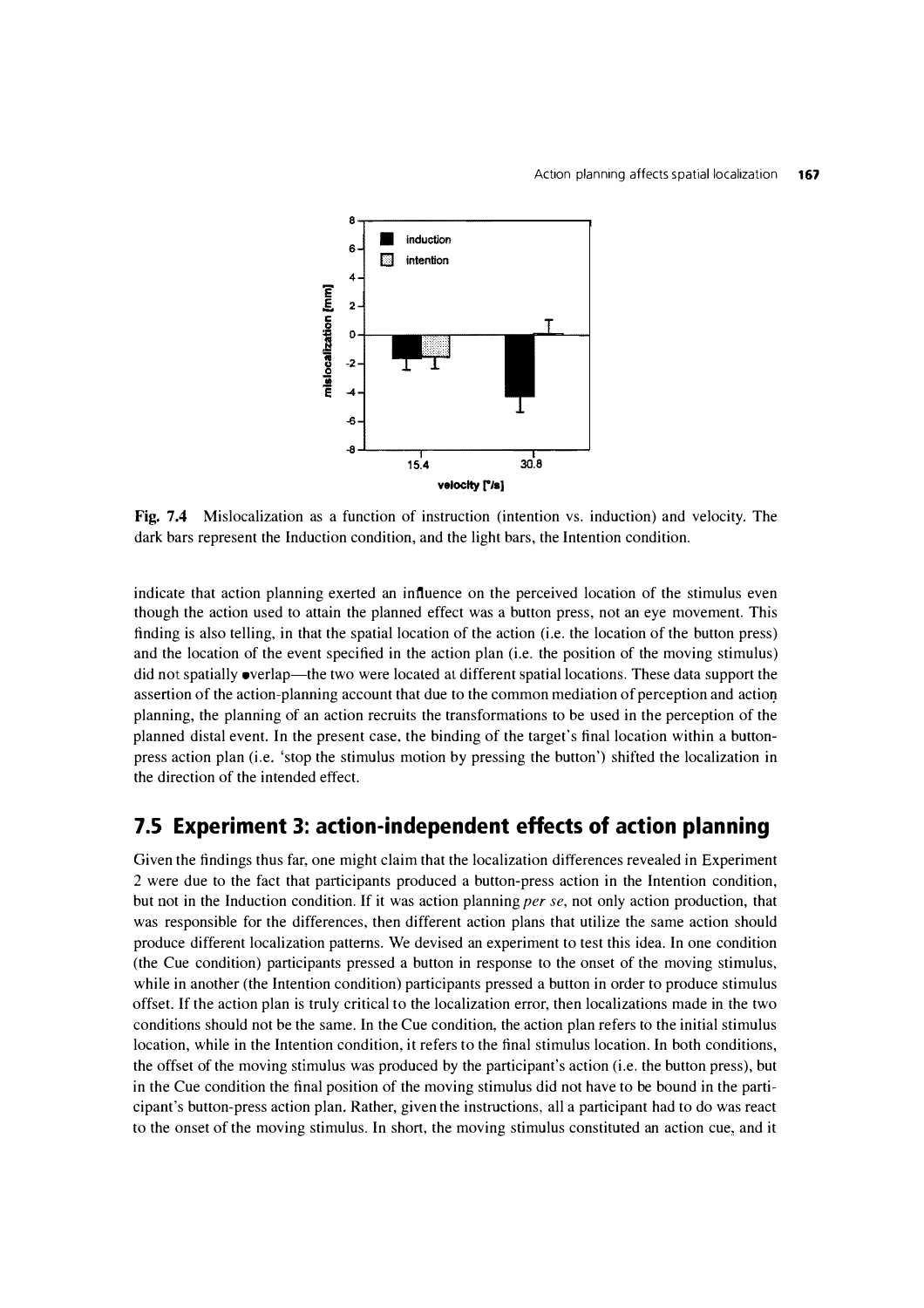

Fig. 7.4 Mislocalization as a function of instruction (intention vs. induction) and velocity. The dark bars represent the Induction condition, and the light bars, the Intention condition.

indicate that action planning exerted an influence on the perceived location of the stimulus even though the action used to attain the planned effect was a button press, not an eye movement. This finding is also telling, in that the spatial location of the action (i.e. the location of the button press) and the location of the event specified in the action plan (i.e. the position of the moving stimulus) did not spatially overlap—the two were located at different spatial locations. These data support the assertion of the action-planning account that due to the common mediation of perception and action planning, the planning of an action recruits the transformations to be used in the perception of the planned distal event. In the present case, the binding of the target's final location within a buttonpress action plan (i.e. 'stop the stimulus motion by pressing the button') shifted the localization in the direction of the intended effect.

# 7.5 Experiment 3: action-independent effects of action planning

Given the findings thus far, one might claim that the localization differences revealed in Experiment 2 were due to the fact that participants produced a button-press action in the Intention condition, but not in the Induction condition. If it was action planning *per se*, not only action production, that was responsible for the differences, then different action plans that utilize the same action should produce different localization patterns. We devised an experiment to test this idea. In one condition (the Cue condition) participants pressed a button in response to the onset of the moving stimulus, while in another (the Intention condition) participants pressed a button in order to produce stimulus offset. If the action plan is truly critical to the localization error, then localizations made in the two conditions should not be the same. In the Cue condition, the action plan refers to the initial stimulus location, while in the Intention condition, it refers to the final stimulus location. In both conditions, the offset of the moving stimulus was produced by the participant's action (i.e. the button press), but in the Cue condition the final position of the moving stimulus did not have to be bound in the participant's button-press action plan. Rather, given the instructions, all a participant had to do was react to the onset of the moving stimulus. In short, the moving stimulus constituted an action cue, and it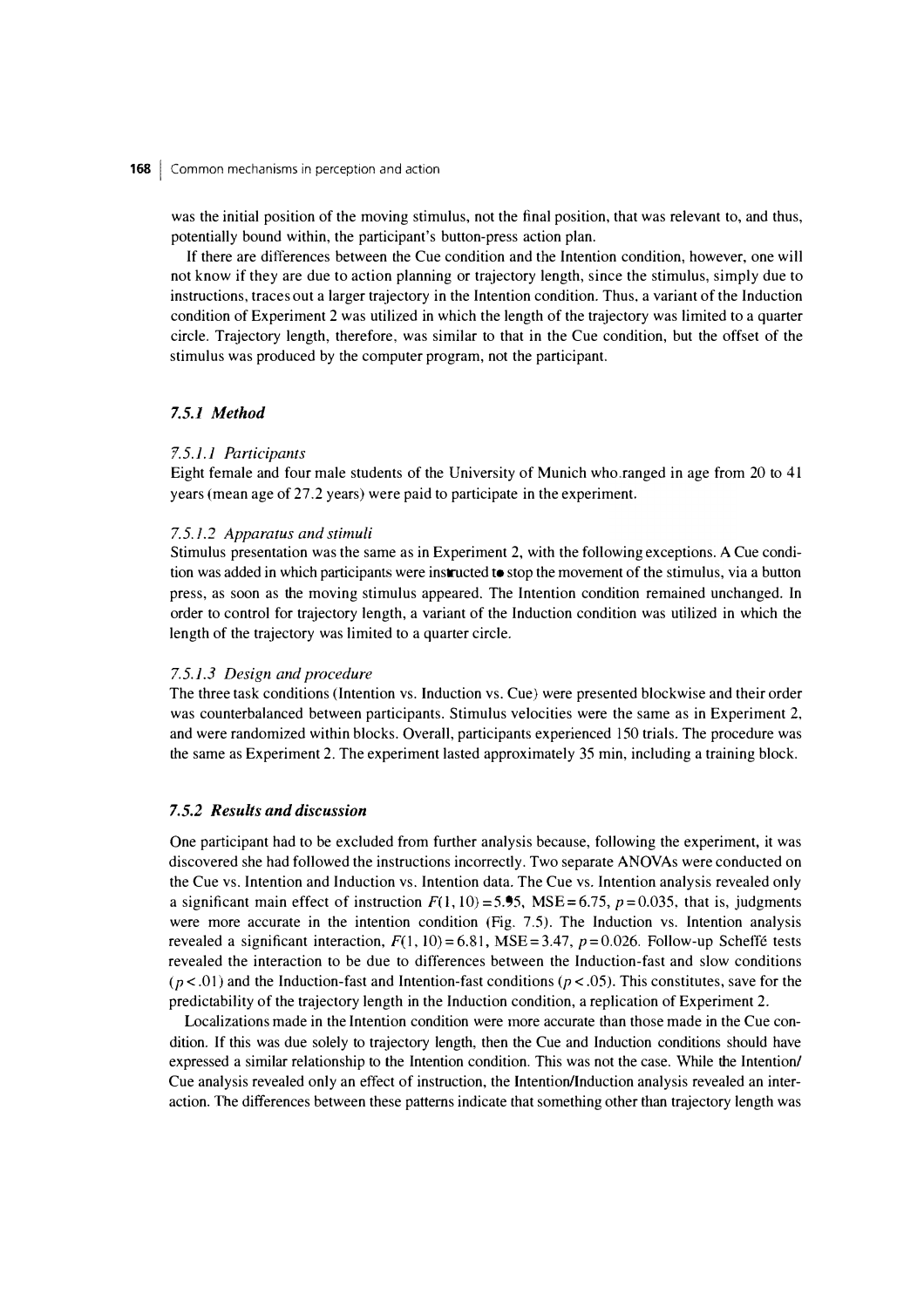was the initial position of the moving stimulus, not the final position, that was relevant to, and thus, potentially bound within, the participant's button-press action plan.

If there are differences between the Cue condition and the Intention condition, however, one will not know if they are due to action planning or trajectory length, since the stimulus, simply due to instructions, traces out a larger trajectory in the Intention condition. Thus, a variant of the Induction condition of Experiment 2 was utilized in which the length of the trajectory was limited to a quarter circle. Trajectory length, therefore, was similar to that in the Cue condition, but the offset of the stimulus was produced by the computer program, not the participant.

### 7.5.1 Method

#### 7.5.1.1 Participants

Eight female and four male students of the University of Munich who.ranged in age from 20 to 41 years (mean age of 27.2 years) were paid to participate in the experiment.

#### 7.5.1.2 Apparatus and stimuli

Stimulus presentation was the same as in Experiment 2, with the following exceptions. A Cue condition was added in which participants were instructed to stop the movement of the stimulus, via a button press, as soon as the moving stimulus appeared. The Intention condition remained unchanged. In order to control for trajectory length, a variant of the Induction condition was utilized in which the length of the trajectory was limited to a quarter circle.

#### 7.5.1.3 Design and procedure

The three task conditions (Intention vs. Induction vs. Cue) were presented blockwise and their order was counterbalanced between participants. Stimulus velocities were the same as in Experiment 2, and were randomized within blocks. Overall, participants experienced 150 trials. The procedure was the same as Experiment 2. The experiment lasted approximately 35 min, including a training block.

### 7.5.2 Results and discussion

One participant had to be excluded from further analysis because, following the experiment, it was discovered she had followed the instructions incorrectly. Two separate ANOVAs were conducted on the Cue vs. Intention and Induction vs. Intention data. The Cue vs. Intention analysis revealed only a significant main effect of instruction  $F(1, 10) = 5.95$ , MSE = 6.75, p=0.035, that is, judgments were more accurate in the intention condition (Fig. 7.5). The Induction vs. Intention analysis revealed a significant interaction,  $F(1, 10) = 6.81$ , MSE = 3.47,  $p = 0.026$ . Follow-up Scheffé tests revealed the interaction to be due to differences between the Induction-fast and slow conditions  $(p < .01)$  and the Induction-fast and Intention-fast conditions  $(p < .05)$ . This constitutes, save for the predictability of the trajectory length in the Induction condition, a replication of Experiment 2.

Localizations made in the Intention condition were more accurate than those made in the Cue condition. If this was due solely to trajectory length, then the Cue and Induction conditions should have expressed a similar relationship to the Intention condition. This was not the case. While the Intention/ Cue analysis revealed only an effect of instruction, the Intention/Induction analysis revealed an interaction. The differences between these patterns indicate that something other than trajectory length was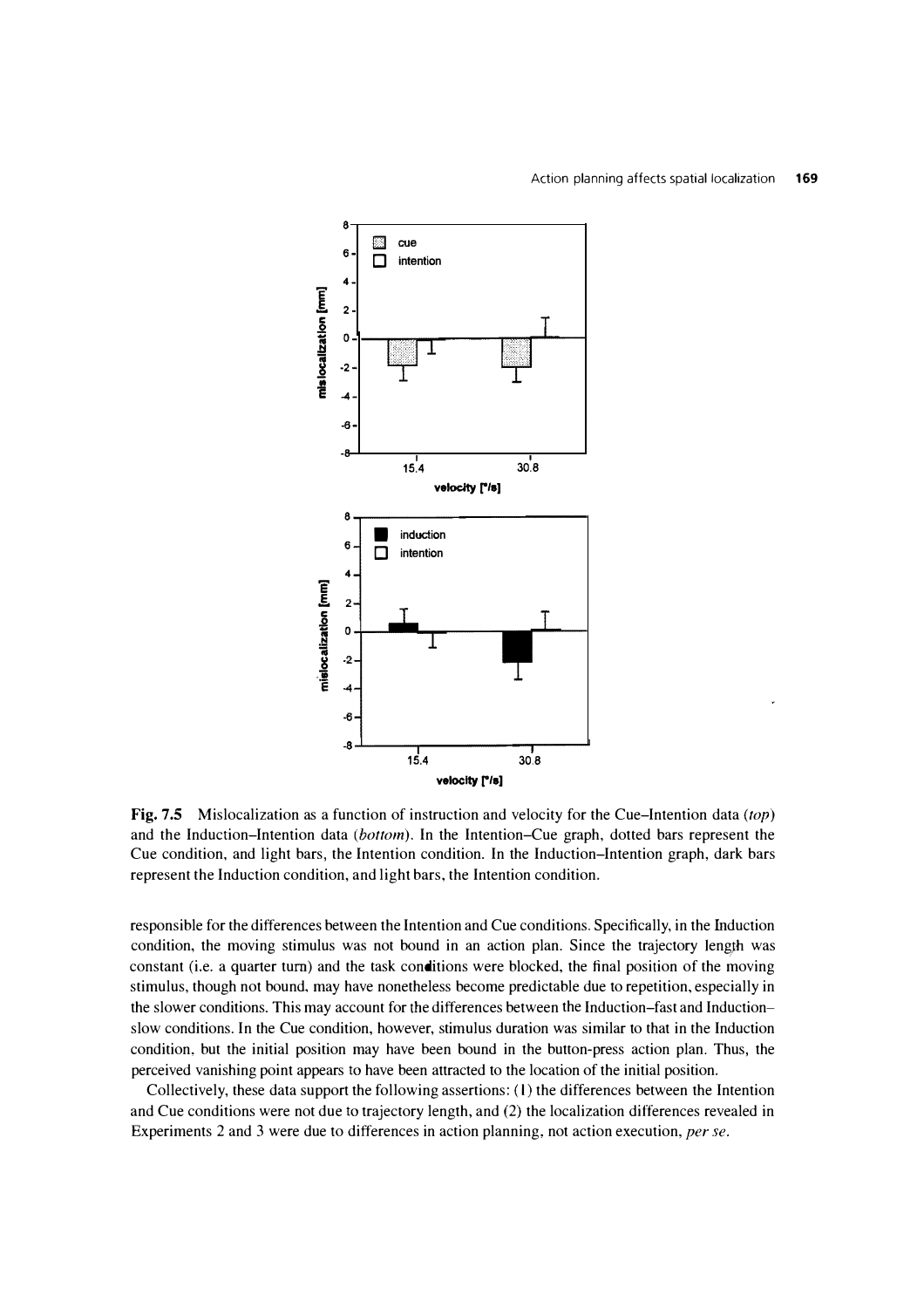

Fig. 7.5 Mislocalization as a function of instruction and velocity for the Cue-Intention data (top) and the Induction-Intention data (bottom). In the Intention-Cue graph, dotted bars represent the Cue condition, and light bars, the Intention condition. In the Induction-Intention graph, dark bars represent the Induction condition, and light bars, the Intention condition.

responsible for the differences between the Intention and Cue conditions. Specifically, in the Induction condition, the moving stimulus was not bound in an action plan. Since the trajectory length was constant (i.e. a quarter turn) and the task conditions were blocked, the final position of the moving stimulus, though not bound, may have nonetheless become predictable due to repetition, especially in the slower conditions. This may account for the differences between the Induction-fast and Inductionslow conditions. In the Cue condition, however, stimulus duration was similar to that in the Induction condition, but the initial position may have been bound in the button-press action plan. Thus, the perceived vanishing point appears to have been attracted to the location of the initial position.

Collectively, these data support the following assertions: (I) the differences between the Intention and Cue conditions were not due to trajectory length, and (2) the localization differences revealed in Experiments 2 and 3 were due to differences in action planning, not action execution, per se.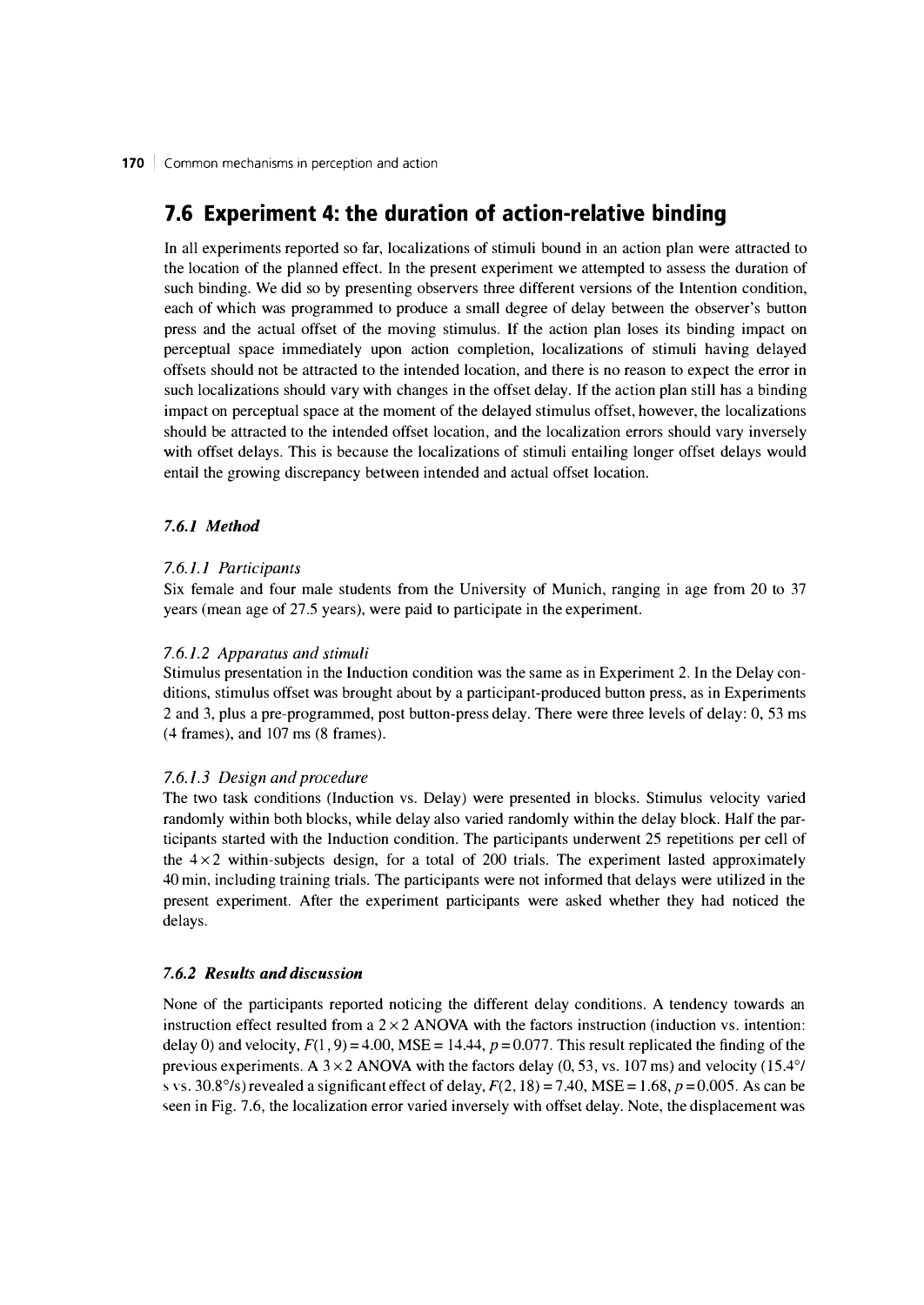# 7.6 Experiment 4: the duration of action-relative binding

In all experiments reported so far, localizations of stimuli bound in an action plan were attracted to the location of the planned effect. In the present experiment we attempted to assess the duration of such binding. We did so by presenting observers three different versions of the Intention condition, each of which was programmed to produce a small degree of delay between the observer's button press and the actual offset of the moving stimulus. If the action plan loses its binding impact on perceptual space immediately upon action completion, localizations of stimuli having delayed offsets should not be attracted to the intended location, and there is no reason to expect the error in such localizations should vary with changes in the offset delay. If the action plan still has a binding impact on perceptual space at the moment of the delayed stimulus offset, however, the localizations should be attracted to the intended offset location, and the localization errors should vary inversely with offset delays. This is because the localizations of stimuli entailing longer offset delays would entail the growing discrepancy between intended and actual offset location.

## 7.6.1 Method

### 7.6.1.1 Participants

Six female and four male students from the University of Munich, ranging in age from 20 to 37 years (mean age of 27.5 years), were paid to participate in the experiment.

### 7.6.1.2 Apparatus and stimuli

Stimulus presentation in the Induction condition was the same as in Experiment 2. In the Delay conditions, stimulus offset was brought about by a participant-produced button press, as in Experiments 2 and 3, plus a pre-programmed, post button-press delay. There were three levels of delay: 0, 53 ms (4 frames), and 107 ms (8 frames).

### 7.6.1.3 Design and procedure

The two task conditions (Induction vs. Delay) were presented in blocks. Stimulus velocity varied randomly within both blocks, while delay also varied randomly within the delay block. Half the participants started with the Induction condition. The participants underwent 25 repetitions per cell of the  $4 \times 2$  within-subjects design, for a total of 200 trials. The experiment lasted approximately 40 min, including training trials. The participants were not informed that delays were utilized in the present experiment. After the experiment participants were asked whether they had noticed the delays.

#### 7.6.2 Results and discussion

None of the participants reported noticing the different delay conditions. A tendency towards an instruction effect resulted from a  $2 \times 2$  ANOVA with the factors instruction (induction vs. intention: delay 0) and velocity,  $F(1, 9) = 4.00$ , MSE = 14.44,  $p = 0.077$ . This result replicated the finding of the previous experiments. A  $3 \times 2$  ANOVA with the factors delay (0, 53, vs. 107 ms) and velocity (15.4°/ s vs.  $30.8^{\circ}/s$  revealed a significant effect of delay,  $F(2, 18) = 7.40$ , MSE = 1.68,  $p = 0.005$ . As can be seen in Fig. 7.6, the localization error varied inversely with offset delay. Note, the displacement was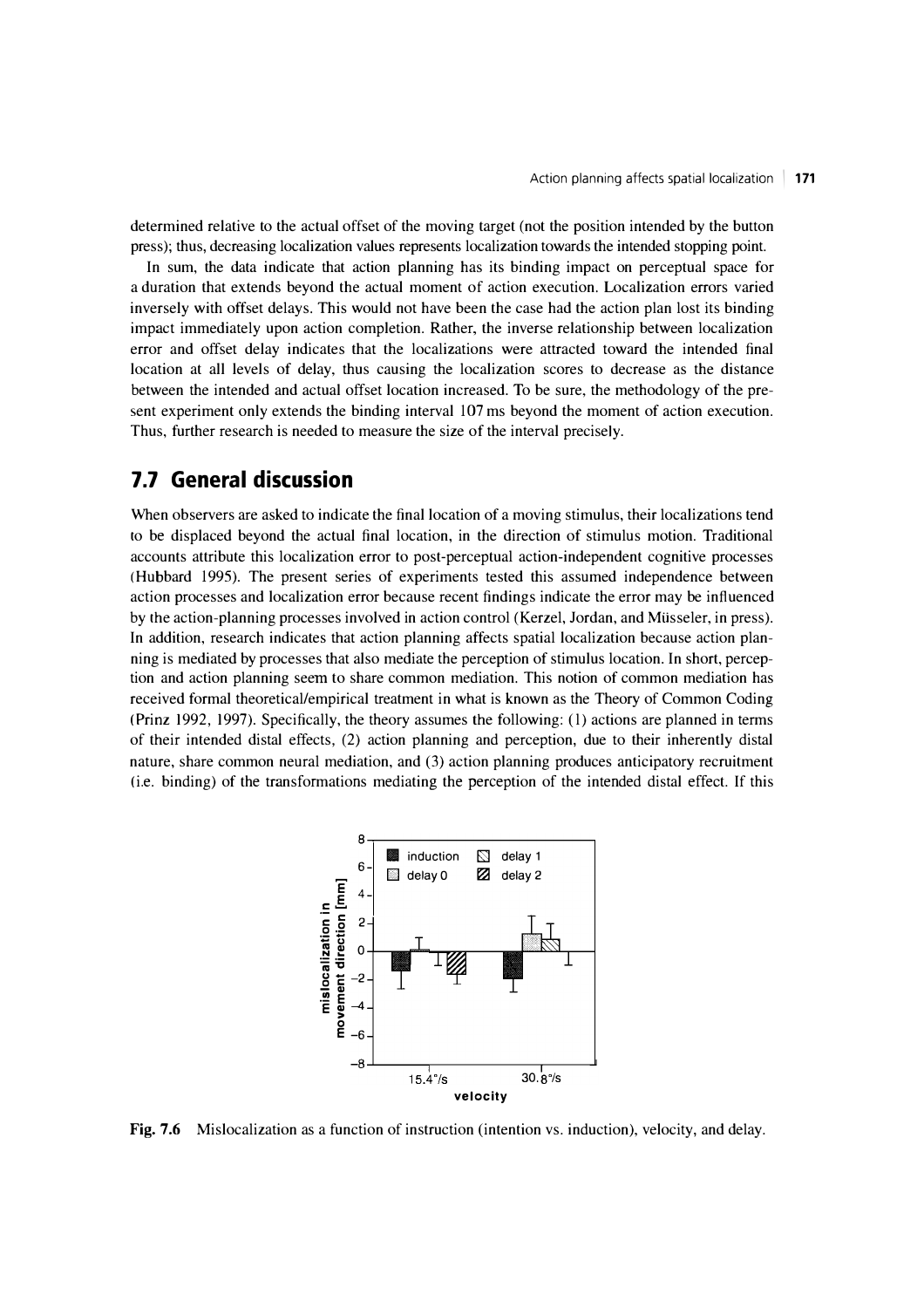determined relative to the actual offset of the moving target (not the position intended by the button press); thus, decreasing localization values represents localization towards the intended stopping point.

In sum, the data indicate that action planning has its binding impact on perceptual space for a duration that extends beyond the actual moment of action execution. Localization errors varied inversely with offset delays. This would not have been the case had the action plan lost its binding impact immediately upon action completion. Rather, the inverse relationship between localization error and offset delay indicates that the localizations were attracted toward the intended final location at all levels of delay, thus causing the localization scores to decrease as the distance between the intended and actual offset location increased. To be sure, the methodology of the present experiment only extends the binding interval 107 ms beyond the moment of action execution. Thus, further research is needed to measure the size of the interval precisely.

# 7.7 General discussion

When observers are asked to indicate the final location of a moving stimulus, their localizations tend to be displaced beyond the actual final location, in the direction of stimulus motion. Traditional accounts attribute this localization error to post-perceptual action-independent cognitive processes (Hubbard 1995). The present series of experiments tested this assumed independence between action processes and localization error because recent findings indicate the error may be influenced by the action-planning processes involved in action control (Kerzel, Jordan, and Müsseler, in press). In addition, research indicates that action planning affects spatial localization because action planning is mediated by processes that also mediate the perception of stimulus location. In short, perception and action planning seem to share common mediation. This notion of common mediation has received formal theoretical/empirical treatment in what is known as the Theory of Common Coding (Prinz 1992, 1997). Specifically, the theory assumes the following: (l) actions are planned in terms of their intended distal effects, (2) action planning and perception, due to their inherently distal nature, share common neural mediation, and (3) action planning produces anticipatory recruitment (i.e. binding) of the transformations mediating the perception of the intended distal effect. If this



Fig. 7.6 Mislocalization as a function of instruction (intention vs. induction), velocity, and delay.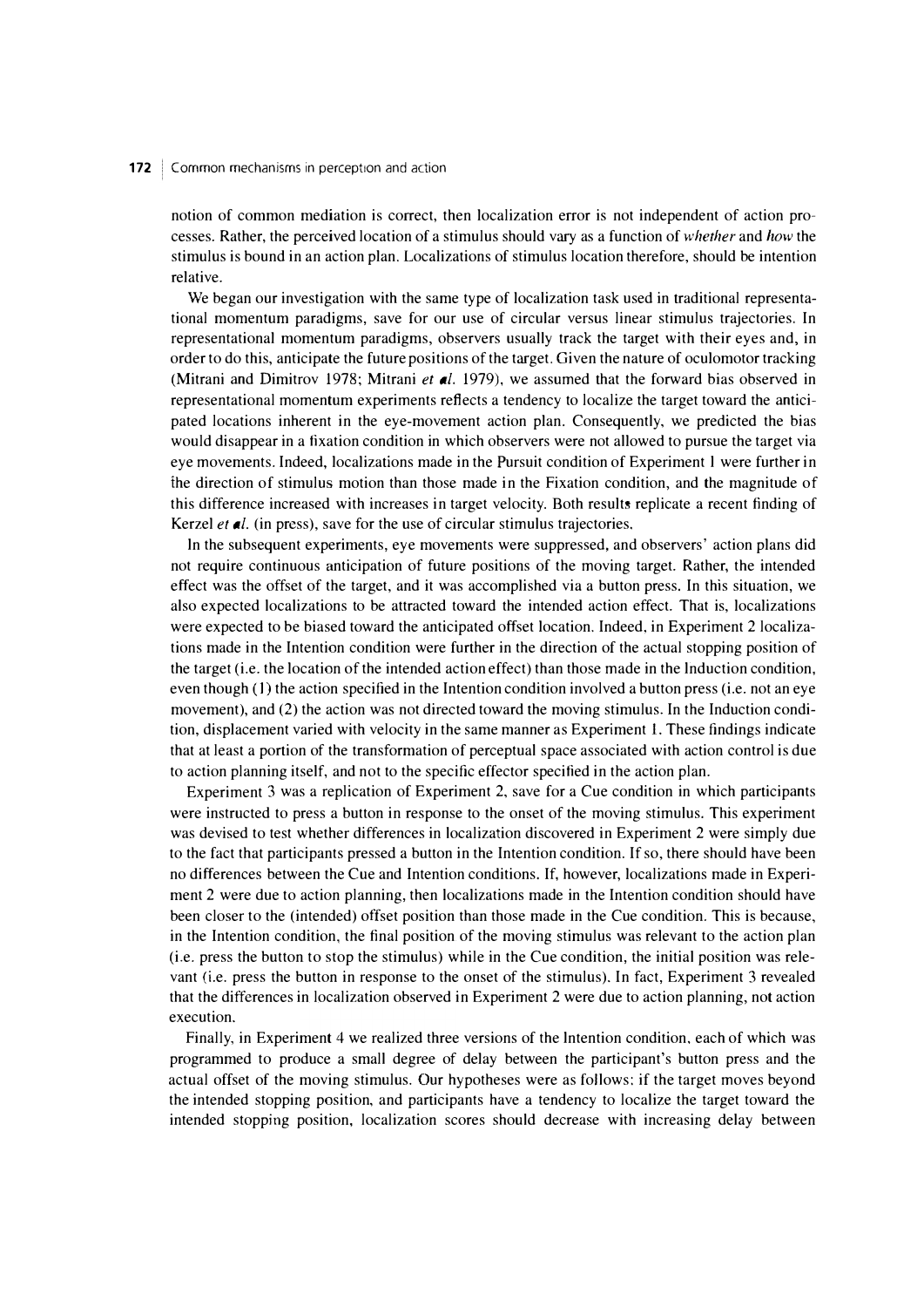notion of common mediation is correct, then localization error is not independent of action processes. Rather, the perceived location of a stimulus should vary as a function of whether and how the stimulus is bound in an action plan. Localizations of stimulus location therefore, should be intention relative.

We began our investigation with the same type of localization task used in traditional representational momentum paradigms, save for our use of circular versus linear stimulus trajectories. In representational momentum paradigms, observers usually track the target with their eyes and, in order to do this, anticipate the future positions of the target. Given the nature of oculomotor tracking (Mitrani and Dimitrov 1978; Mitrani et  $d$ . 1979), we assumed that the forward bias observed in representational momentum experiments reflects a tendency to localize the target toward the anticipated locations inherent in the eye-movement action plan. Consequently, we predicted the bias would disappear in a fixation condition in which observers were not allowed to pursue the target via eye movements. Indeed, localizations made in the Pursuit condition of Experiment I were further in the direction of stimulus motion than those made in the Fixation condition, and the magnitude of this difference increased with increases in target velocity. Both results replicate a recent finding of Kerzel et  $\boldsymbol{\epsilon}$ l. (in press), save for the use of circular stimulus trajectories.

In the subsequent experiments, eye movements were suppressed, and observers' action plans did not require continuous anticipation of future positions of the moving target. Rather, the intended effect was the offset of the target, and it was accomplished via a button press. In this situation, we also expected localizations to be attracted toward the intended action effect. That is, localizations were expected to be biased toward the anticipated offset location. Indeed, in Experiment 2 localizations made in the Intention condition were further in the direction of the actual stopping position of the target (i.e. the location of the intended action effect) than those made in the Induction condition, even though (I) the action specified in the Intention condition involved a button press (i.e. not an eye movement), and (2) the action was not directed toward the moving stimulus. In the Induction condition, displacement varied with velocity in the same manner as Experiment 1. These findings indicate that at least a portion of the transformation of perceptual space associated with action control is due to action planning itself, and not to the specific effector specified in the action plan.

Experiment 3 was a replication of Experiment 2, save for a Cue condition in which participants were instructed to press a button in response to the onset of the moving stimulus. This experiment was devised to test whether differences in localization discovered in Experiment 2 were simply due to the fact that participants pressed a button in the Intention condition. If so, there should have been no differences between the Cue and Intention conditions. If, however, localizations made in Experiment 2 were due to action planning, then localizations made in the Intention condition should have been closer to the (intended) offset position than those made in the Cue condition. This is because, in the Intention condition, the final position of the moving stimulus was relevant to the action plan (i.e. press the button to stop the stimulus) while in the Cue condition, the initial position was relevant (i.e. press the button in response to the onset of the stimulus). In fact, Experiment 3 revealed that the differences in localization observed in Experiment 2 were due to action planning, not action execution.

Finally, in Experiment 4 we realized three versions of the Intention condition, each of which was programmed to produce a small degree of delay between the participant's button press and the actual offset of the moving stimulus. Our hypotheses were as foJlows: if the target moves beyond the intended stopping position, and participants have a tendency to localize the target toward the intended stopping position, localization scores should decrease with increasing delay between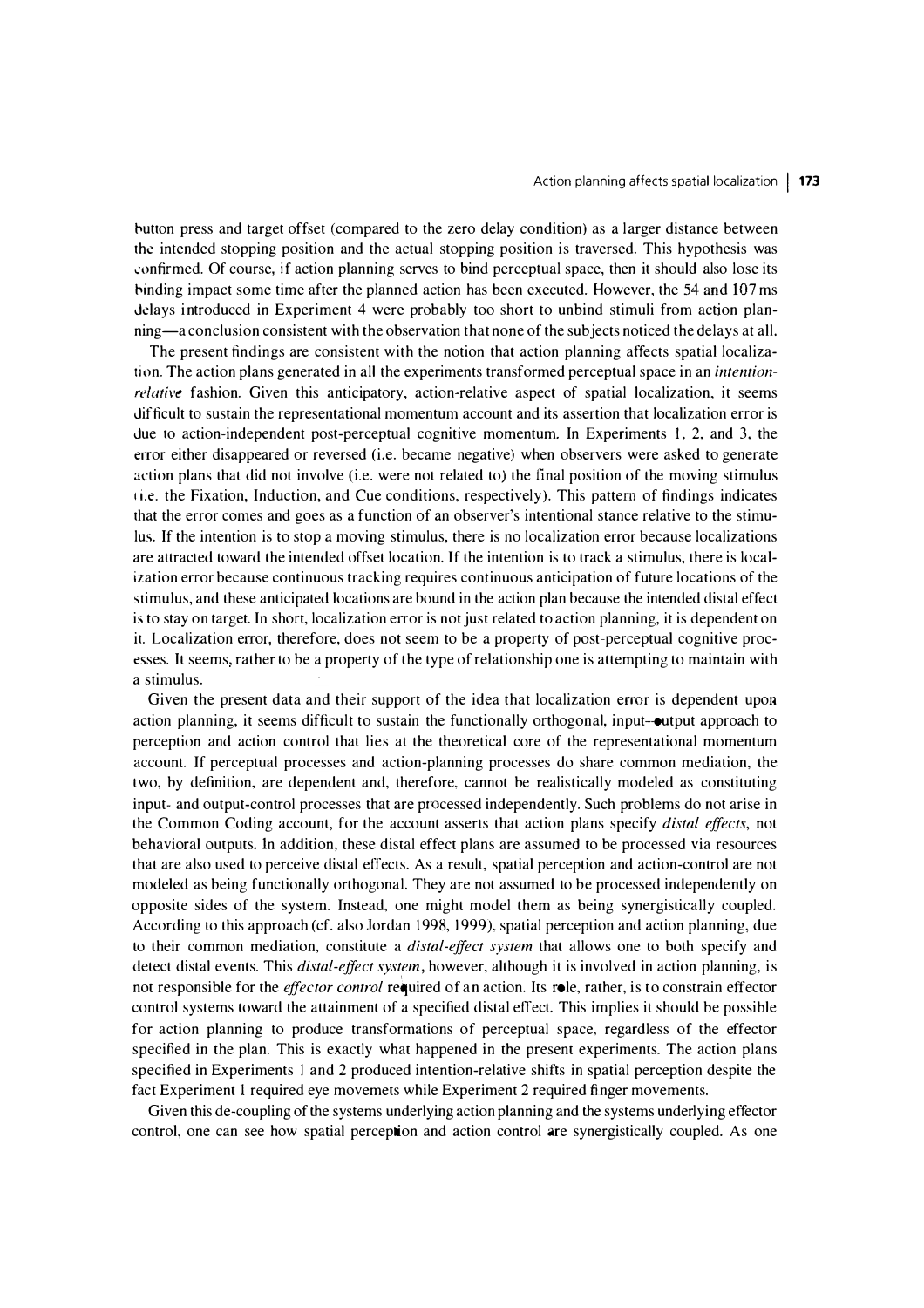button press and target offset (compared to the zero delay condition) as a larger distance between the intended stopping position and the actual stopping position is traversed. This hypothesis was .;onfirmed. Of course, if action planning serves to bind perceptual space, then it should also lose its binding impact some time after the planned action has been executed. However, the 54 and 107 ms delays introduced in Experiment 4 were probably too short to unbind stimuli from action planning-a conclusion consistent with the observation that none of the subjects noticed the delays at all.

The present findings are consistent with the notion that action planning affects spatial localization. The action plans generated in all the experiments transformed perceptual space in an intentionrelative fashion. Given this anticipatory, action-relative aspect of spatial localization, it seems difficult to sustain the representational momentum account and its assertion that localization error is due to action-independent post-perceptual cognitive momentum. In Experiments 1, 2, and 3, the error either disappeared or reversed (i.e. became negative) when observers were asked to generate action plans that did not involve (i.e. were not related to) the final position of the moving stimulus l i.e. the Fixation, Induction, and Cue conditions, respectively). This pattern of findings indicates that the error comes and goes as a function of an observer's intentional stance relative to the stimulus. If the intention is to stop a moving stimulus, there is no localization error because localizations are attracted toward the intended offset location. If the intention is to track a stimulus, there is localization error because continuous tracking requires continuous anticipation of future locations of the stimulus, and these anticipated locations are bound in the action plan because the intended distal effect is to stay on target. In short, localization error is not just related to action planning, it is dependent on it. Localization error, therefore, does not seem to be a property of post-perceptual cognitive processes. It seems, rather to be a property of the type of relationship one is attempting to maintain with a stimulus.

Given the present data and their support of the idea that localization error is dependent upon action planning, it seems difficult to sustain the functionally orthogonal, input-output approach to perception and action control that lies at the theoretical core of the representational momentum account. If perceptual processes and action-planning processes do share common mediation, the two, by definition, are dependent and, therefore, cannot be realistically modeled as constituting input- and output-control processes that are processed independently. Such problems do not arise in the Common Coding account, for the account asserts that action plans specify *distal effects*, not behavioral outputs. In addition, these distal effect plans are assumed to be processed via resources that are also used to perceive distal effects. As a result, spatial perception and action-control are not modeled as being functionally orthogonal. They are not assumed to be processed independently on opposite sides of the system. Instead, one might model them as being synergistically coupled. According to this approach (cf. also Jordan 1998, 1999), spatial perception and action planning, due to their common mediation, constitute a *distal-effect system* that allows one to both specify and detect distal events. This *distal-effect system*, however, although it is involved in action planning, is not responsible for the *effector control* required of an action. Its role, rather, is to constrain effector control systems toward the attainment of a specified distal effect. This implies it should be possible for action planning to produce transformations of perceptual space, regardless of the effector specified in the plan. This is exactly what happened in the present experiments. The action plans specified in Experiments 1 and 2 produced intention-relative shifts in spatial perception despite the fact Experiment 1 required eye movemets while Experiment 2 required finger movements.

Given this de-coupling of the systems underlying action planning and the systems underlying effector control, one can see how spatial perception and action control are synergistically coupled. As one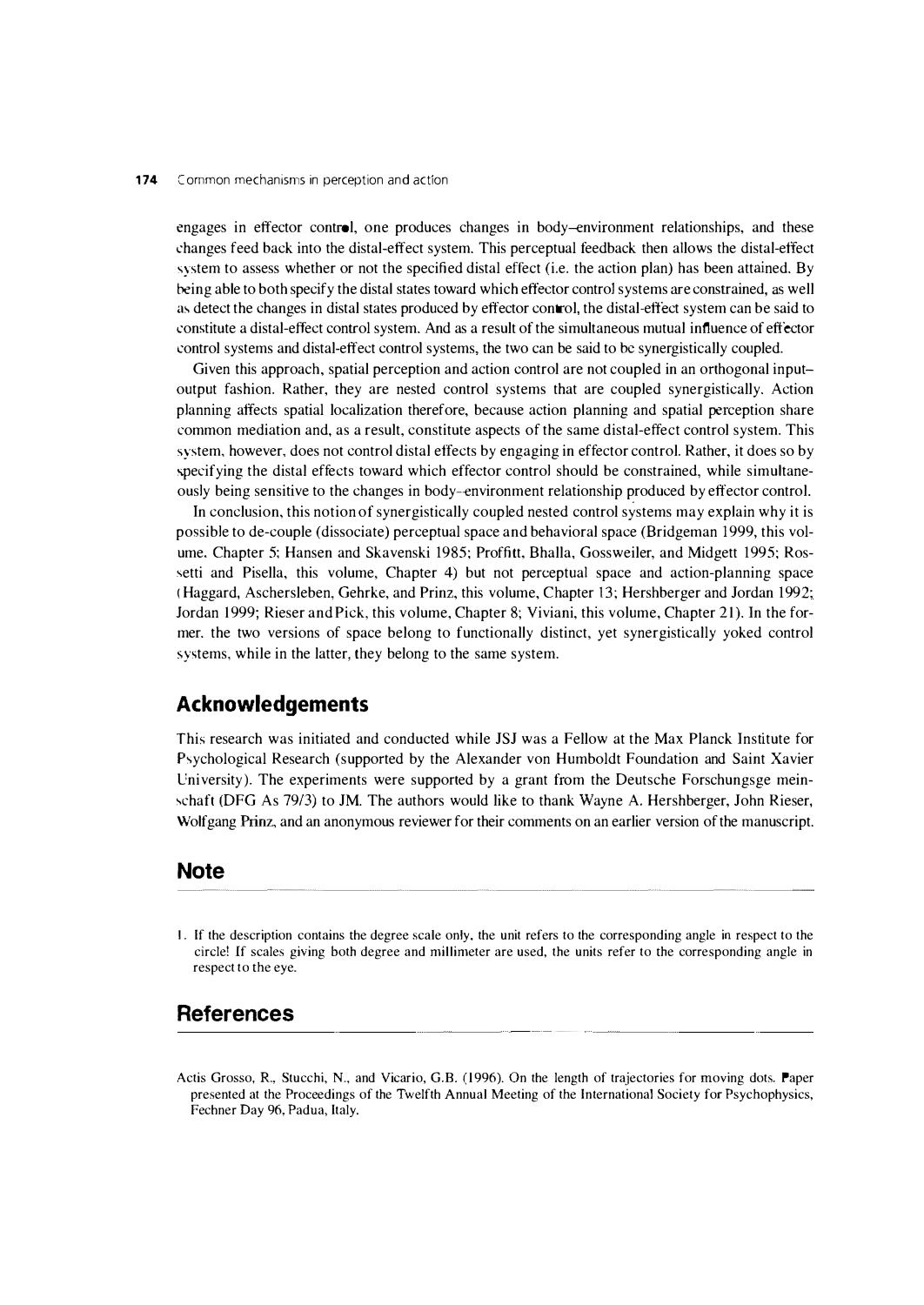engages in effector control, one produces changes in body-environment relationships, and these changes feed back into the distal-effect system. This perceptual feedback then allows the distal-effect system to assess whether or not the specified distal effect (i.e. the action plan) has been attained. By being able to both specify the distal states toward which effector control systems are constrained, a� well a� detect the changes in distal states produced by effector control, the distal-effect system can be said to constitute a distal-effect control system. And as a result of the simultaneous mutual influence of effector control systems and distal-effect control systems, the two can be said to be synergistically coupled.

Given this approach, spatial perception and action control are not coupled in an orthogonal inputoutput fashion. Rather, they are nested control systems that are coupled synergistically. Action planning affects spatial localization therefore, because action planning and spatial perception share common mediation and, as a result, constitute aspects of the same distal-effect control system. This system. however, does not control distal effects by engaging in effector control. Rather, it does so by specifying the distal effects toward which effector control should be constrained, while simultaneously being sensitive to the changes in body-environment relationship produced by effector control.

In conclusion, this notion of synergistically coupled nested control systems may explain why it is possible to de-couple (dissociate) perceptual space and behavioral space (Bridgeman 1999, this volume. Chapter 5: Hansen and Skavenski 1985; Proffitt, Bhalla, Gossweiler, and Midgett 1995; Rossetti and Pisella, this volume, Chapter 4) but not perceptual space and action-planning space ( Haggard, Aschersleben, Gehrke, and Prinz, this volume, Chapter 13; Hershberger and Jordan 1992: Jordan 1999; Rieser and Pick, this volume, Chapter 8; Viviani, this volume, Chapter 21). In the former. the two versions of space belong to functionally distinct, yet synergistically yoked control systems, while in the latter, they belong to the same system.

# Acknowledgements

This research was initiated and conducted while JSJ was a Fellow at the Max Planck Institute for Psychological Research (supported by the Alexander von Humboldt Foundation and Saint Xavier University). The experiments were supported by a grant from the Deutsche Forschungsge mein �chaft (DFG As 79/3) to JM. The authors would like to thank Wayne A. Hershberger, John Rieser, Wolfgang Prinz, and an anonymous reviewer for their comments on an earlier version of the manuscript.

# Note

I. If the description contains the degree scale only, the unit refers to the corresponding angle in respect to the circle! If scales giving both degree and millimeter are used, the units refer to the corresponding angle in respect to the eye.

# **References**

Actis Grosso, R., Stucchi, N., and Vicario, G.B. (1996). On the length of trajectories for moving dots. Paper presented at the Proceedings of the Twelfth Annual Meeting of the International Society for Psychophysics, Fechner Day 96, Padua, Italy.

���� .... -�.�--.... -�--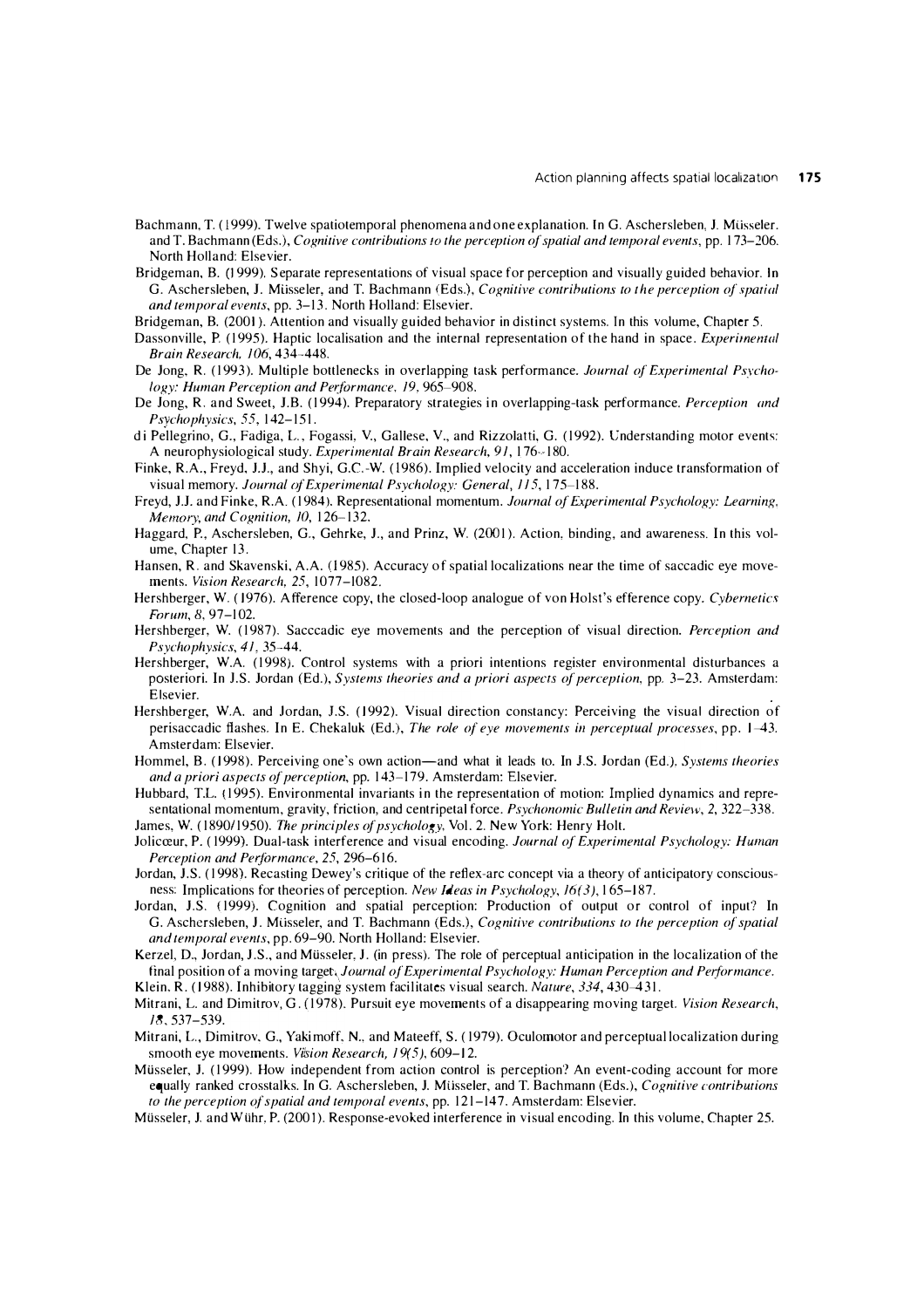- Bachmann, T. ( 1999). Twelve spatiotemporal phenomena and one explanation. In G. Aschersleben, J. Mtisseler. and T. Bachmann (Eds.), Cognitive contributions to the perception of spatial and temporal events, pp. 173-206. North Holland: Elsevier.
- Bridgeman, B. (J 999). S eparate representations of visual space for perception and visually guided behavior. In G. Aschersleben, J. Müsseler, and T. Bachmann (Eds.), Cognitive contributions to the perception of spatial and temporal events, pp. 3-13. North Holland: Elsevier.
- Bridgeman, B. (2001). Attention and visually guided behavior in distinct systems. In this volume, Chapter 5.
- Dassonville, P. (1995). Haptic localisation and the internal representation of the hand in space. Experimental Brain Research. 106, 434-448.
- De Jong, R. (1993). Multiple bottlenecks in overlapping task performance. Journal of Experimental Psychology: Human Perception and Performance. 19, 965-908.
- De Jong, R. and Sweet, J.B. (1994). Preparatory strategies in overlapping-task performance. Perception and Psvchophysics, 55, 142-151.
- di Pellegrino, G., Fadiga, L., Fogassi, V., Gallese, V., and Rizzolatti, G. ( 1992). Cnderstanding motor events: A neurophysiological study. Experimental Brain Research, 91, 1 76··180.
- Finke, R.A., Freyd, J.J., and Shyi, G.C. -W. ( l986). Implied velocity and acceleration induce transformation of visual memory. Journal of Experimental Psychology: General, 115, 175-188.
- Freyd, J.J. and Finke, R.A. (1984). Representational momentum. Journal of Experimental Psychology: Learning. Memory, and Cognition,  $10$ ,  $126-132$ .
- Haggard, P., Aschersleben, G., Gehrke, J., and Prinz, W. (2001). Action, binding, and awareness. In this volume, Chapter 13.
- Hansen, R. and Skavenski, A.A. (1985). Accuracy of spatial localizations near the time of saccadic eye movements. Vision Research, 25, 1077-1082.
- Hershberger, W. ( 1976). Afference copy, the closed-loop analogue of von Holst's efference copy. Cybernetics Forum, 8, 97-102.
- Hershberger, W. (1987). Sacccadic eye movements and the perception of visual direction. *Perception and* Psychophysics, 41, 35-44.
- Hershberger, W.A. (1998). Control systems with a priori intentions register environmental disturbances a posteriori. In J.S. Jordan (Ed.), Systems theories and a priori aspects of perception, pp. 3-23. Amsterdam: E lsevier.
- . Hershberger, W.A. and l ordan, 1.S. (1992). Visual direction constancy: Perceiving the visual direction of perisaccadic flashes. In E. Chekaluk (Ed.), The role of eye movements in perceptual processes, pp. 1–43. Amsterdam: Elsevier.
- Hommel, B. (1998). Perceiving one's own action-and what it leads to. In J.S. Jordan (Ed.), Systems theories and a priori aspects of perception, pp. 1 43-1 79. Amsterdam: Elsevier.
- Hubbard. T.L. (1995). Environmental invariants in the representation of motion: Implied dynamics and representational momentum, gravity, friction, and centripetal force. Psychonomic Bulletin and Review, 2, 322-338. James, W. (1890/1950). The principles of psychology, Vol. 2. New York: Henry Holt.
- Jolicœur, P. (1999). Dual-task interference and visual encoding. Journal of Experimental Psychology: Human Perception and Performance, 25, 296-616.
- Jordan, J.S. (1998). Recasting Dewey's critique of the reflex-arc concept via a theory of anticipatory consciousness: Implications for theories of perception. New Ideas in Psychology, 16(3), 165-187.
- Jordan, J.S. { 1999}. Cognition and spatial perception: Production of output or control of input? In G. Aschersleben, J. Müsseler, and T. Bachmann (Eds.), Cognitive contributions to the perception of spatial and temporal events, pp. 69-90. North Holland: Elsevier.
- Kerzel, D., Jordan, J.S., and Müsseler, J. (in press). The role of perceptual anticipation in the localization of the final position of a moving target, Journal of Experimental Psychology: Human Perception and Performance.
- Klein, R. (1988). Inhibitory tagging system facilitates visual search. Nature, 334, 430-431.
- Mitrani, L. and Dimitrov, G. (1978). Pursuit eye movements of a disappearing moving target. Vision Research, 18, 537-539.
- Mitrani, L., Dimitrov, G., Yakimoff, N., and Mateeff, S. ( 1979). Oculomotor and perceptual localization during smooth eye movements. Vision Research, 19(5), 609-12.
- MUsseler, J. (1999). How independent from action control is perception? An event-coding account for more equally ranked crosstalks. In G. Aschersleben, J. Müsseler, and T. Bachmann (Eds.), Cognitive contributions to the perception of spatial and temporal events, pp. 121-147. Amsterdam: Elsevier.
- Müsseler, J. and Wühr, P. (2001). Response-evoked interference in visual encoding. In this volume, Chapter 25.